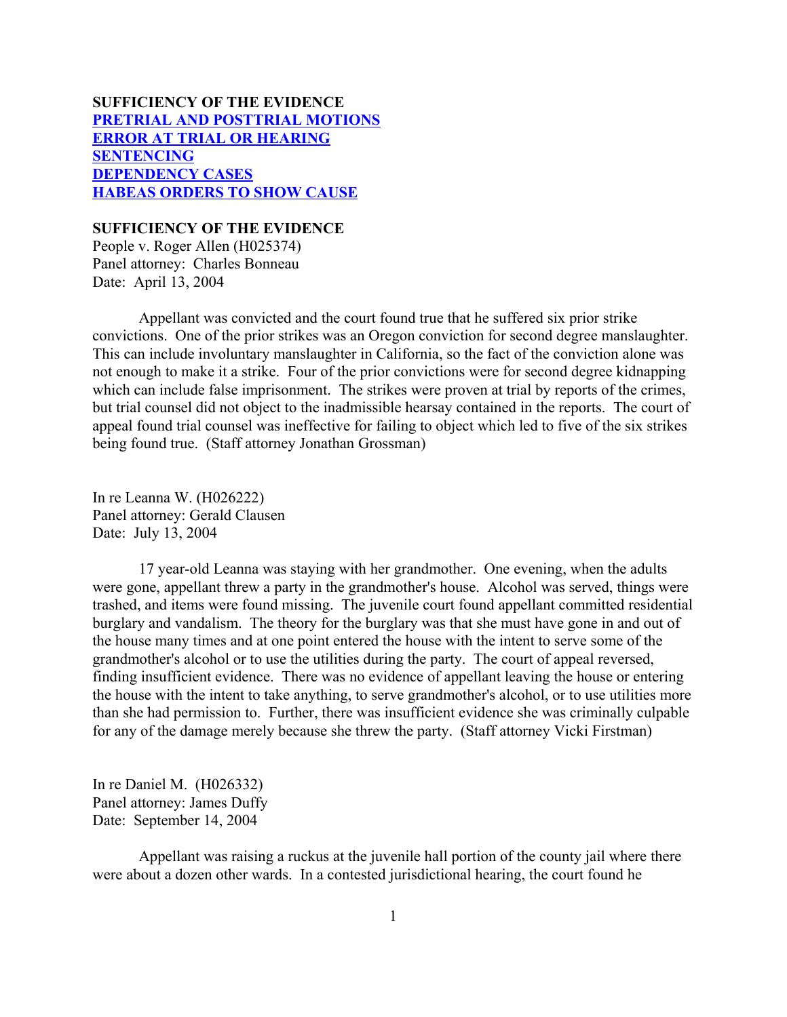# **SUFFICIENCY OF THE EVIDENCE [PRETRIAL AND POSTTRIAL MOTIONS](#page-1-0) [ERROR AT TRIAL OR HEARING](#page-4-0) [SENTENCING](#page-12-0) [DEPENDENCY CASES](#page-30-0) [HABEAS ORDERS TO SHOW CAUSE](#page-31-0)**

## **SUFFICIENCY OF THE EVIDENCE**

People v. Roger Allen (H025374) Panel attorney: Charles Bonneau Date: April 13, 2004

Appellant was convicted and the court found true that he suffered six prior strike convictions. One of the prior strikes was an Oregon conviction for second degree manslaughter. This can include involuntary manslaughter in California, so the fact of the conviction alone was not enough to make it a strike. Four of the prior convictions were for second degree kidnapping which can include false imprisonment. The strikes were proven at trial by reports of the crimes, but trial counsel did not object to the inadmissible hearsay contained in the reports. The court of appeal found trial counsel was ineffective for failing to object which led to five of the six strikes being found true. (Staff attorney Jonathan Grossman)

In re Leanna W. (H026222) Panel attorney: Gerald Clausen Date: July 13, 2004

17 year-old Leanna was staying with her grandmother. One evening, when the adults were gone, appellant threw a party in the grandmother's house. Alcohol was served, things were trashed, and items were found missing. The juvenile court found appellant committed residential burglary and vandalism. The theory for the burglary was that she must have gone in and out of the house many times and at one point entered the house with the intent to serve some of the grandmother's alcohol or to use the utilities during the party. The court of appeal reversed, finding insufficient evidence. There was no evidence of appellant leaving the house or entering the house with the intent to take anything, to serve grandmother's alcohol, or to use utilities more than she had permission to. Further, there was insufficient evidence she was criminally culpable for any of the damage merely because she threw the party. (Staff attorney Vicki Firstman)

In re Daniel M. (H026332) Panel attorney: James Duffy Date: September 14, 2004

Appellant was raising a ruckus at the juvenile hall portion of the county jail where there were about a dozen other wards. In a contested jurisdictional hearing, the court found he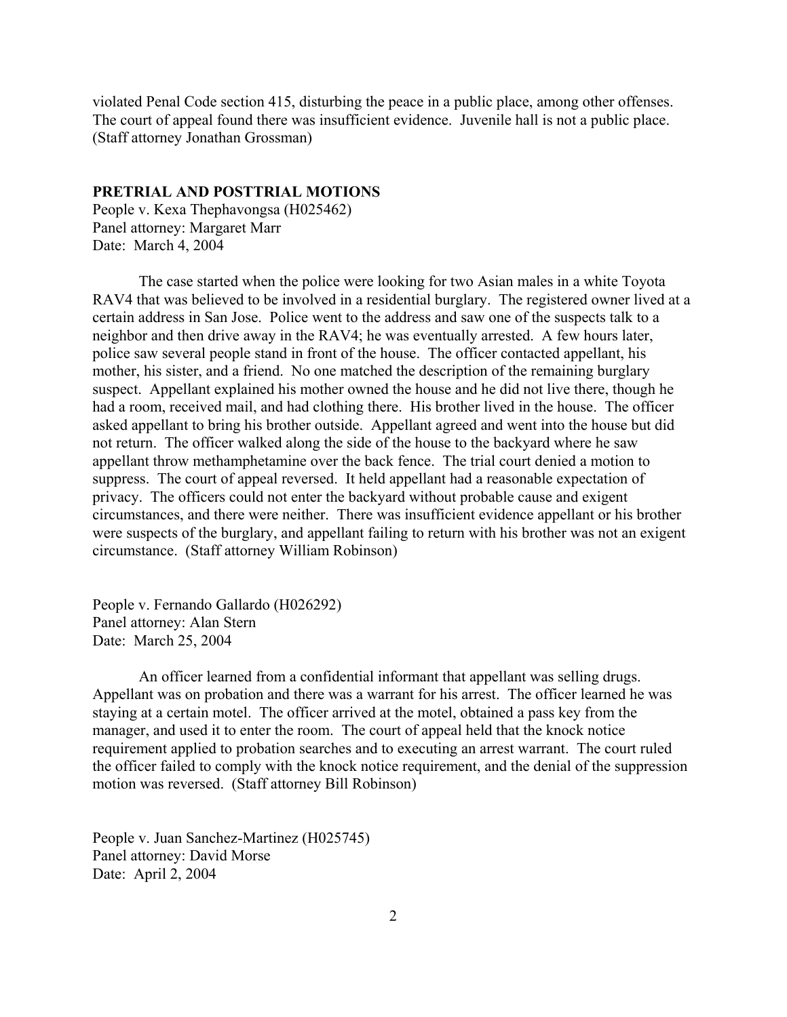<span id="page-1-0"></span>violated Penal Code section 415, disturbing the peace in a public place, among other offenses. The court of appeal found there was insufficient evidence. Juvenile hall is not a public place. (Staff attorney Jonathan Grossman)

## **PRETRIAL AND POSTTRIAL MOTIONS**

People v. Kexa Thephavongsa (H025462) Panel attorney: Margaret Marr Date: March 4, 2004

The case started when the police were looking for two Asian males in a white Toyota RAV4 that was believed to be involved in a residential burglary. The registered owner lived at a certain address in San Jose. Police went to the address and saw one of the suspects talk to a neighbor and then drive away in the RAV4; he was eventually arrested. A few hours later, police saw several people stand in front of the house. The officer contacted appellant, his mother, his sister, and a friend. No one matched the description of the remaining burglary suspect. Appellant explained his mother owned the house and he did not live there, though he had a room, received mail, and had clothing there. His brother lived in the house. The officer asked appellant to bring his brother outside. Appellant agreed and went into the house but did not return. The officer walked along the side of the house to the backyard where he saw appellant throw methamphetamine over the back fence. The trial court denied a motion to suppress. The court of appeal reversed. It held appellant had a reasonable expectation of privacy. The officers could not enter the backyard without probable cause and exigent circumstances, and there were neither. There was insufficient evidence appellant or his brother were suspects of the burglary, and appellant failing to return with his brother was not an exigent circumstance. (Staff attorney William Robinson)

People v. Fernando Gallardo (H026292) Panel attorney: Alan Stern Date: March 25, 2004

An officer learned from a confidential informant that appellant was selling drugs. Appellant was on probation and there was a warrant for his arrest. The officer learned he was staying at a certain motel. The officer arrived at the motel, obtained a pass key from the manager, and used it to enter the room. The court of appeal held that the knock notice requirement applied to probation searches and to executing an arrest warrant. The court ruled the officer failed to comply with the knock notice requirement, and the denial of the suppression motion was reversed. (Staff attorney Bill Robinson)

People v. Juan Sanchez-Martinez (H025745) Panel attorney: David Morse Date: April 2, 2004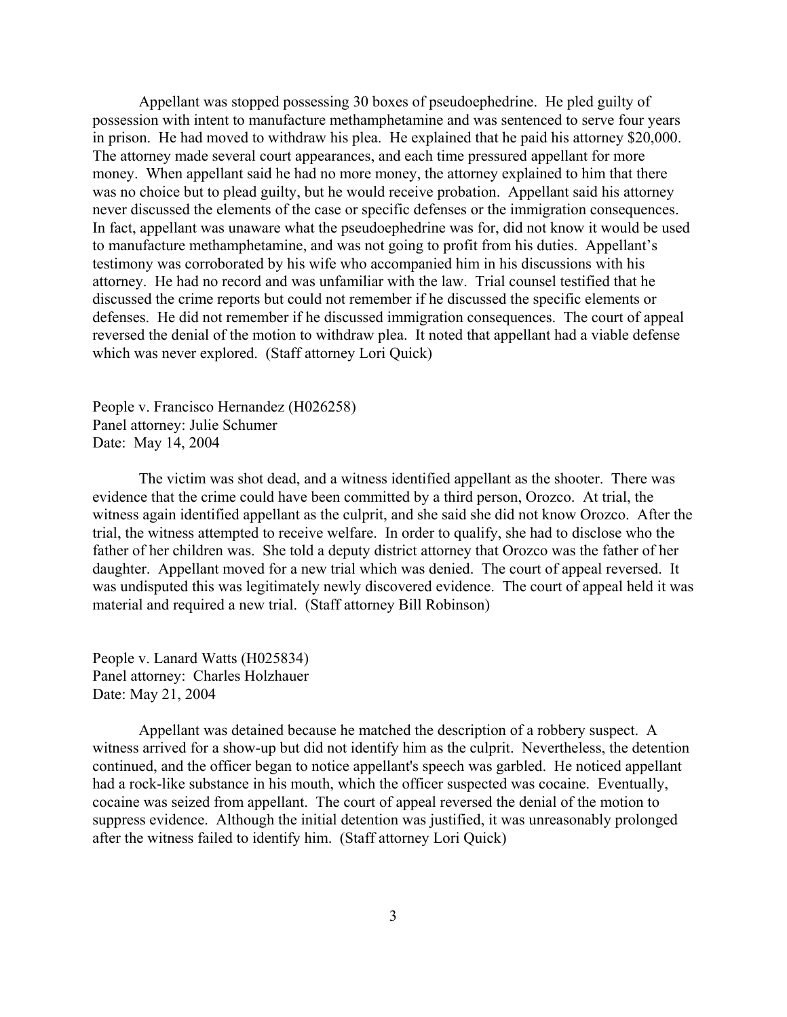Appellant was stopped possessing 30 boxes of pseudoephedrine. He pled guilty of possession with intent to manufacture methamphetamine and was sentenced to serve four years in prison. He had moved to withdraw his plea. He explained that he paid his attorney \$20,000. The attorney made several court appearances, and each time pressured appellant for more money. When appellant said he had no more money, the attorney explained to him that there was no choice but to plead guilty, but he would receive probation. Appellant said his attorney never discussed the elements of the case or specific defenses or the immigration consequences. In fact, appellant was unaware what the pseudoephedrine was for, did not know it would be used to manufacture methamphetamine, and was not going to profit from his duties. Appellant's testimony was corroborated by his wife who accompanied him in his discussions with his attorney. He had no record and was unfamiliar with the law. Trial counsel testified that he discussed the crime reports but could not remember if he discussed the specific elements or defenses. He did not remember if he discussed immigration consequences. The court of appeal reversed the denial of the motion to withdraw plea. It noted that appellant had a viable defense which was never explored. (Staff attorney Lori Quick)

People v. Francisco Hernandez (H026258) Panel attorney: Julie Schumer Date: May 14, 2004

The victim was shot dead, and a witness identified appellant as the shooter. There was evidence that the crime could have been committed by a third person, Orozco. At trial, the witness again identified appellant as the culprit, and she said she did not know Orozco. After the trial, the witness attempted to receive welfare. In order to qualify, she had to disclose who the father of her children was. She told a deputy district attorney that Orozco was the father of her daughter. Appellant moved for a new trial which was denied. The court of appeal reversed. It was undisputed this was legitimately newly discovered evidence. The court of appeal held it was material and required a new trial. (Staff attorney Bill Robinson)

People v. Lanard Watts (H025834) Panel attorney: Charles Holzhauer Date: May 21, 2004

Appellant was detained because he matched the description of a robbery suspect. A witness arrived for a show-up but did not identify him as the culprit. Nevertheless, the detention continued, and the officer began to notice appellant's speech was garbled. He noticed appellant had a rock-like substance in his mouth, which the officer suspected was cocaine. Eventually, cocaine was seized from appellant. The court of appeal reversed the denial of the motion to suppress evidence. Although the initial detention was justified, it was unreasonably prolonged after the witness failed to identify him. (Staff attorney Lori Quick)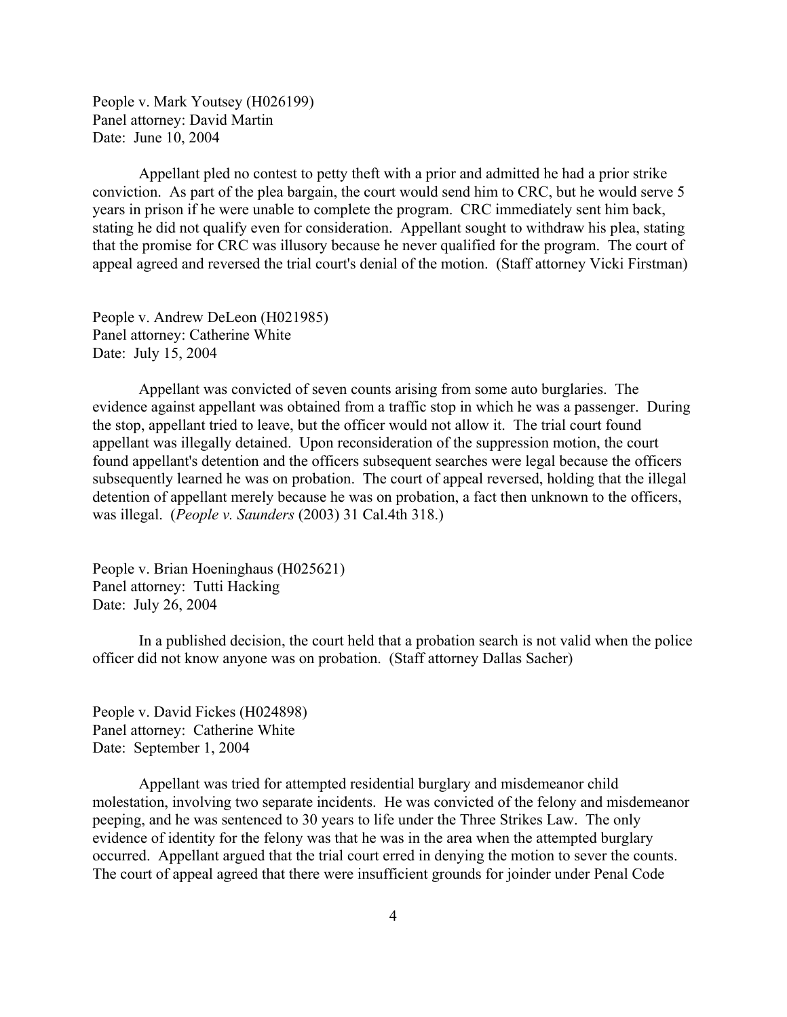People v. Mark Youtsey (H026199) Panel attorney: David Martin Date: June 10, 2004

Appellant pled no contest to petty theft with a prior and admitted he had a prior strike conviction. As part of the plea bargain, the court would send him to CRC, but he would serve 5 years in prison if he were unable to complete the program. CRC immediately sent him back, stating he did not qualify even for consideration. Appellant sought to withdraw his plea, stating that the promise for CRC was illusory because he never qualified for the program. The court of appeal agreed and reversed the trial court's denial of the motion. (Staff attorney Vicki Firstman)

People v. Andrew DeLeon (H021985) Panel attorney: Catherine White Date: July 15, 2004

Appellant was convicted of seven counts arising from some auto burglaries. The evidence against appellant was obtained from a traffic stop in which he was a passenger. During the stop, appellant tried to leave, but the officer would not allow it. The trial court found appellant was illegally detained. Upon reconsideration of the suppression motion, the court found appellant's detention and the officers subsequent searches were legal because the officers subsequently learned he was on probation. The court of appeal reversed, holding that the illegal detention of appellant merely because he was on probation, a fact then unknown to the officers, was illegal. (*People v. Saunders* (2003) 31 Cal.4th 318.)

People v. Brian Hoeninghaus (H025621) Panel attorney: Tutti Hacking Date: July 26, 2004

In a published decision, the court held that a probation search is not valid when the police officer did not know anyone was on probation. (Staff attorney Dallas Sacher)

People v. David Fickes (H024898) Panel attorney: Catherine White Date: September 1, 2004

Appellant was tried for attempted residential burglary and misdemeanor child molestation, involving two separate incidents. He was convicted of the felony and misdemeanor peeping, and he was sentenced to 30 years to life under the Three Strikes Law. The only evidence of identity for the felony was that he was in the area when the attempted burglary occurred. Appellant argued that the trial court erred in denying the motion to sever the counts. The court of appeal agreed that there were insufficient grounds for joinder under Penal Code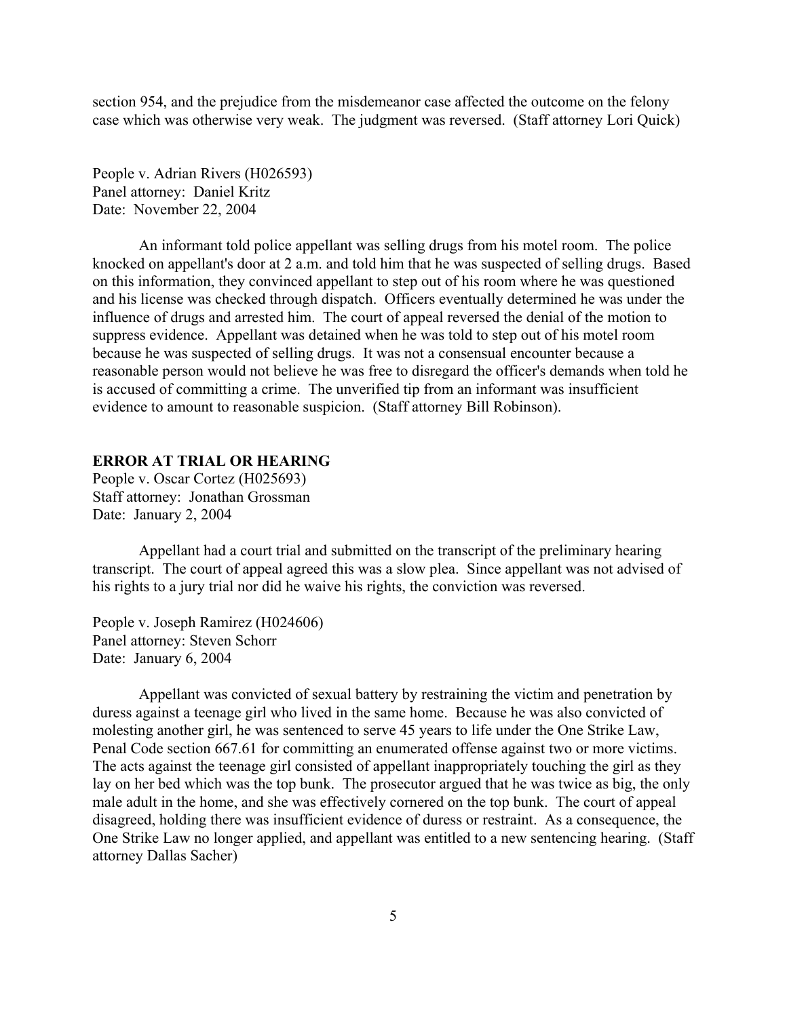<span id="page-4-0"></span>section 954, and the prejudice from the misdemeanor case affected the outcome on the felony case which was otherwise very weak. The judgment was reversed. (Staff attorney Lori Quick)

People v. Adrian Rivers (H026593) Panel attorney: Daniel Kritz Date: November 22, 2004

An informant told police appellant was selling drugs from his motel room. The police knocked on appellant's door at 2 a.m. and told him that he was suspected of selling drugs. Based on this information, they convinced appellant to step out of his room where he was questioned and his license was checked through dispatch. Officers eventually determined he was under the influence of drugs and arrested him. The court of appeal reversed the denial of the motion to suppress evidence. Appellant was detained when he was told to step out of his motel room because he was suspected of selling drugs. It was not a consensual encounter because a reasonable person would not believe he was free to disregard the officer's demands when told he is accused of committing a crime. The unverified tip from an informant was insufficient evidence to amount to reasonable suspicion. (Staff attorney Bill Robinson).

## **ERROR AT TRIAL OR HEARING**

People v. Oscar Cortez (H025693) Staff attorney: Jonathan Grossman Date: January 2, 2004

Appellant had a court trial and submitted on the transcript of the preliminary hearing transcript. The court of appeal agreed this was a slow plea. Since appellant was not advised of his rights to a jury trial nor did he waive his rights, the conviction was reversed.

People v. Joseph Ramirez (H024606) Panel attorney: Steven Schorr Date: January 6, 2004

Appellant was convicted of sexual battery by restraining the victim and penetration by duress against a teenage girl who lived in the same home. Because he was also convicted of molesting another girl, he was sentenced to serve 45 years to life under the One Strike Law, Penal Code section 667.61 for committing an enumerated offense against two or more victims. The acts against the teenage girl consisted of appellant inappropriately touching the girl as they lay on her bed which was the top bunk. The prosecutor argued that he was twice as big, the only male adult in the home, and she was effectively cornered on the top bunk. The court of appeal disagreed, holding there was insufficient evidence of duress or restraint. As a consequence, the One Strike Law no longer applied, and appellant was entitled to a new sentencing hearing. (Staff attorney Dallas Sacher)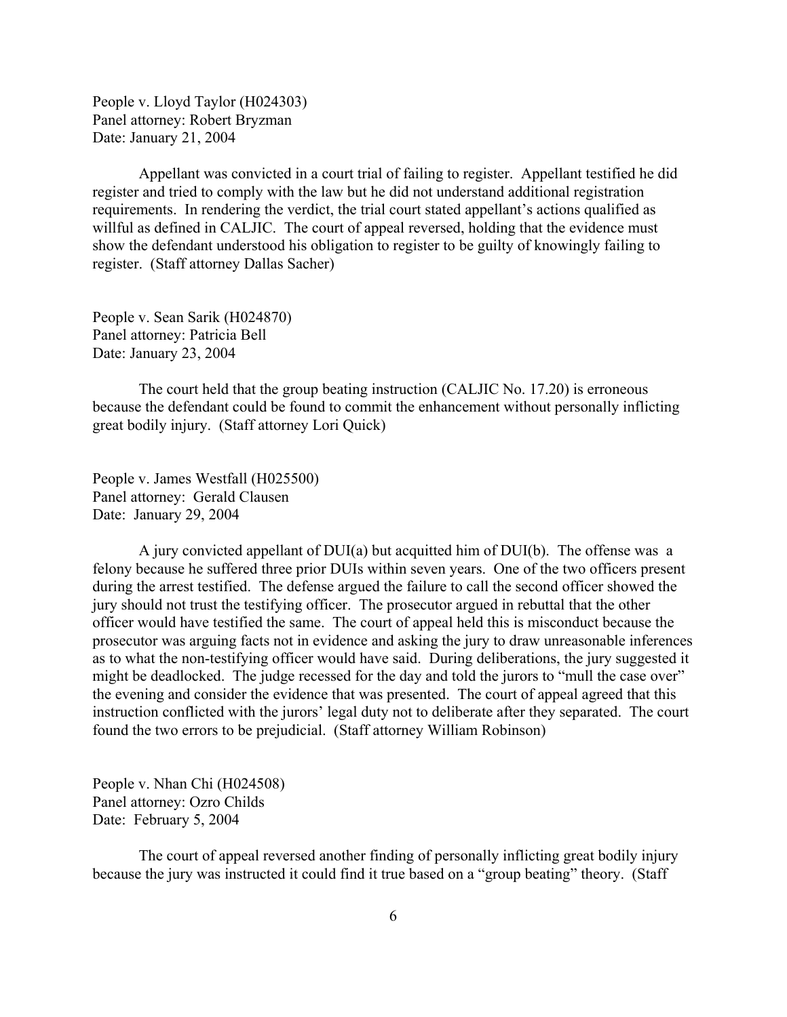People v. Lloyd Taylor (H024303) Panel attorney: Robert Bryzman Date: January 21, 2004

Appellant was convicted in a court trial of failing to register. Appellant testified he did register and tried to comply with the law but he did not understand additional registration requirements. In rendering the verdict, the trial court stated appellant's actions qualified as willful as defined in CALJIC. The court of appeal reversed, holding that the evidence must show the defendant understood his obligation to register to be guilty of knowingly failing to register. (Staff attorney Dallas Sacher)

People v. Sean Sarik (H024870) Panel attorney: Patricia Bell Date: January 23, 2004

The court held that the group beating instruction (CALJIC No. 17.20) is erroneous because the defendant could be found to commit the enhancement without personally inflicting great bodily injury. (Staff attorney Lori Quick)

People v. James Westfall (H025500) Panel attorney: Gerald Clausen Date: January 29, 2004

A jury convicted appellant of DUI(a) but acquitted him of DUI(b). The offense was a felony because he suffered three prior DUIs within seven years. One of the two officers present during the arrest testified. The defense argued the failure to call the second officer showed the jury should not trust the testifying officer. The prosecutor argued in rebuttal that the other officer would have testified the same. The court of appeal held this is misconduct because the prosecutor was arguing facts not in evidence and asking the jury to draw unreasonable inferences as to what the non-testifying officer would have said. During deliberations, the jury suggested it might be deadlocked. The judge recessed for the day and told the jurors to "mull the case over" the evening and consider the evidence that was presented. The court of appeal agreed that this instruction conflicted with the jurors' legal duty not to deliberate after they separated. The court found the two errors to be prejudicial. (Staff attorney William Robinson)

People v. Nhan Chi (H024508) Panel attorney: Ozro Childs Date: February 5, 2004

The court of appeal reversed another finding of personally inflicting great bodily injury because the jury was instructed it could find it true based on a "group beating" theory. (Staff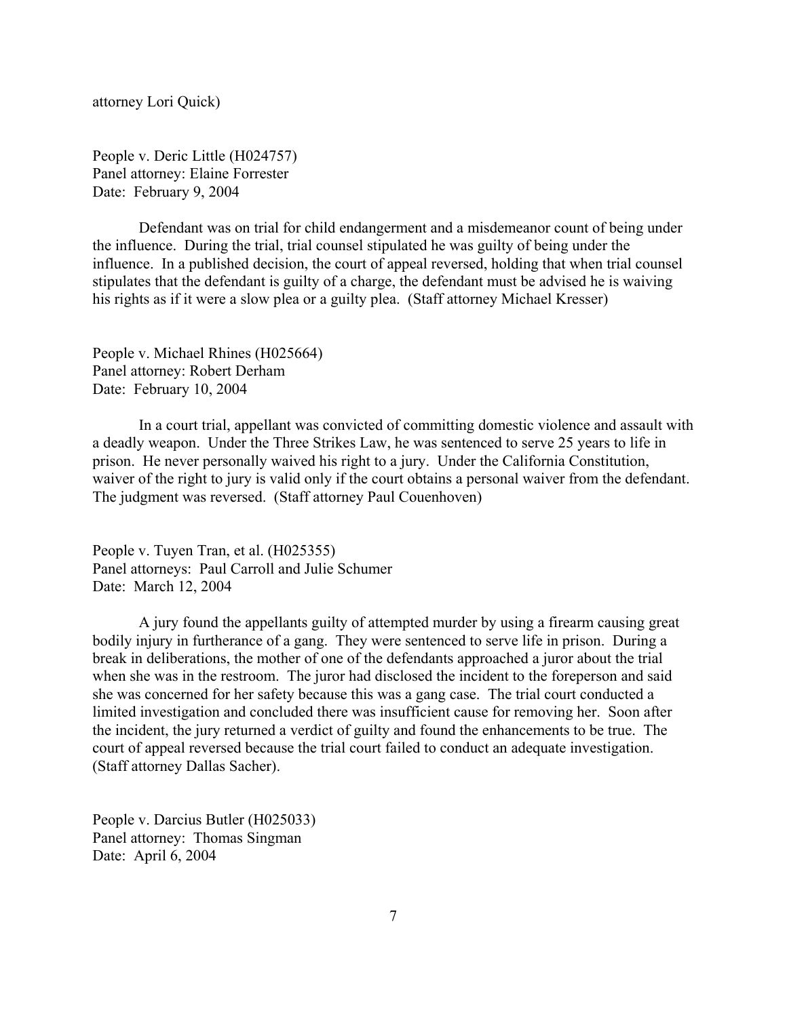attorney Lori Quick)

People v. Deric Little (H024757) Panel attorney: Elaine Forrester Date: February 9, 2004

Defendant was on trial for child endangerment and a misdemeanor count of being under the influence. During the trial, trial counsel stipulated he was guilty of being under the influence. In a published decision, the court of appeal reversed, holding that when trial counsel stipulates that the defendant is guilty of a charge, the defendant must be advised he is waiving his rights as if it were a slow plea or a guilty plea. (Staff attorney Michael Kresser)

People v. Michael Rhines (H025664) Panel attorney: Robert Derham Date: February 10, 2004

In a court trial, appellant was convicted of committing domestic violence and assault with a deadly weapon. Under the Three Strikes Law, he was sentenced to serve 25 years to life in prison. He never personally waived his right to a jury. Under the California Constitution, waiver of the right to jury is valid only if the court obtains a personal waiver from the defendant. The judgment was reversed. (Staff attorney Paul Couenhoven)

People v. Tuyen Tran, et al. (H025355) Panel attorneys: Paul Carroll and Julie Schumer Date: March 12, 2004

A jury found the appellants guilty of attempted murder by using a firearm causing great bodily injury in furtherance of a gang. They were sentenced to serve life in prison. During a break in deliberations, the mother of one of the defendants approached a juror about the trial when she was in the restroom. The juror had disclosed the incident to the foreperson and said she was concerned for her safety because this was a gang case. The trial court conducted a limited investigation and concluded there was insufficient cause for removing her. Soon after the incident, the jury returned a verdict of guilty and found the enhancements to be true. The court of appeal reversed because the trial court failed to conduct an adequate investigation. (Staff attorney Dallas Sacher).

People v. Darcius Butler (H025033) Panel attorney: Thomas Singman Date: April 6, 2004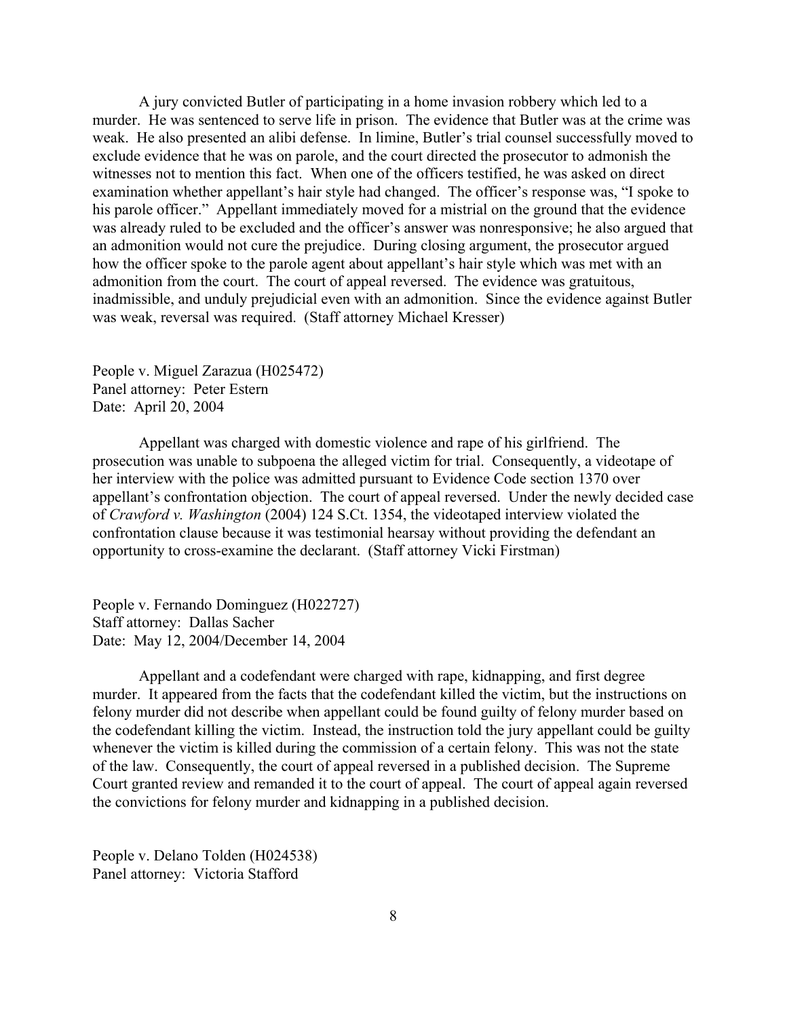A jury convicted Butler of participating in a home invasion robbery which led to a murder. He was sentenced to serve life in prison. The evidence that Butler was at the crime was weak. He also presented an alibi defense. In limine, Butler's trial counsel successfully moved to exclude evidence that he was on parole, and the court directed the prosecutor to admonish the witnesses not to mention this fact. When one of the officers testified, he was asked on direct examination whether appellant's hair style had changed. The officer's response was, "I spoke to his parole officer." Appellant immediately moved for a mistrial on the ground that the evidence was already ruled to be excluded and the officer's answer was nonresponsive; he also argued that an admonition would not cure the prejudice. During closing argument, the prosecutor argued how the officer spoke to the parole agent about appellant's hair style which was met with an admonition from the court. The court of appeal reversed. The evidence was gratuitous, inadmissible, and unduly prejudicial even with an admonition. Since the evidence against Butler was weak, reversal was required. (Staff attorney Michael Kresser)

People v. Miguel Zarazua (H025472) Panel attorney: Peter Estern Date: April 20, 2004

Appellant was charged with domestic violence and rape of his girlfriend. The prosecution was unable to subpoena the alleged victim for trial. Consequently, a videotape of her interview with the police was admitted pursuant to Evidence Code section 1370 over appellant's confrontation objection. The court of appeal reversed. Under the newly decided case of *Crawford v. Washington* (2004) 124 S.Ct. 1354, the videotaped interview violated the confrontation clause because it was testimonial hearsay without providing the defendant an opportunity to cross-examine the declarant. (Staff attorney Vicki Firstman)

People v. Fernando Dominguez (H022727) Staff attorney: Dallas Sacher Date: May 12, 2004/December 14, 2004

Appellant and a codefendant were charged with rape, kidnapping, and first degree murder. It appeared from the facts that the codefendant killed the victim, but the instructions on felony murder did not describe when appellant could be found guilty of felony murder based on the codefendant killing the victim. Instead, the instruction told the jury appellant could be guilty whenever the victim is killed during the commission of a certain felony. This was not the state of the law. Consequently, the court of appeal reversed in a published decision. The Supreme Court granted review and remanded it to the court of appeal. The court of appeal again reversed the convictions for felony murder and kidnapping in a published decision.

People v. Delano Tolden (H024538) Panel attorney: Victoria Stafford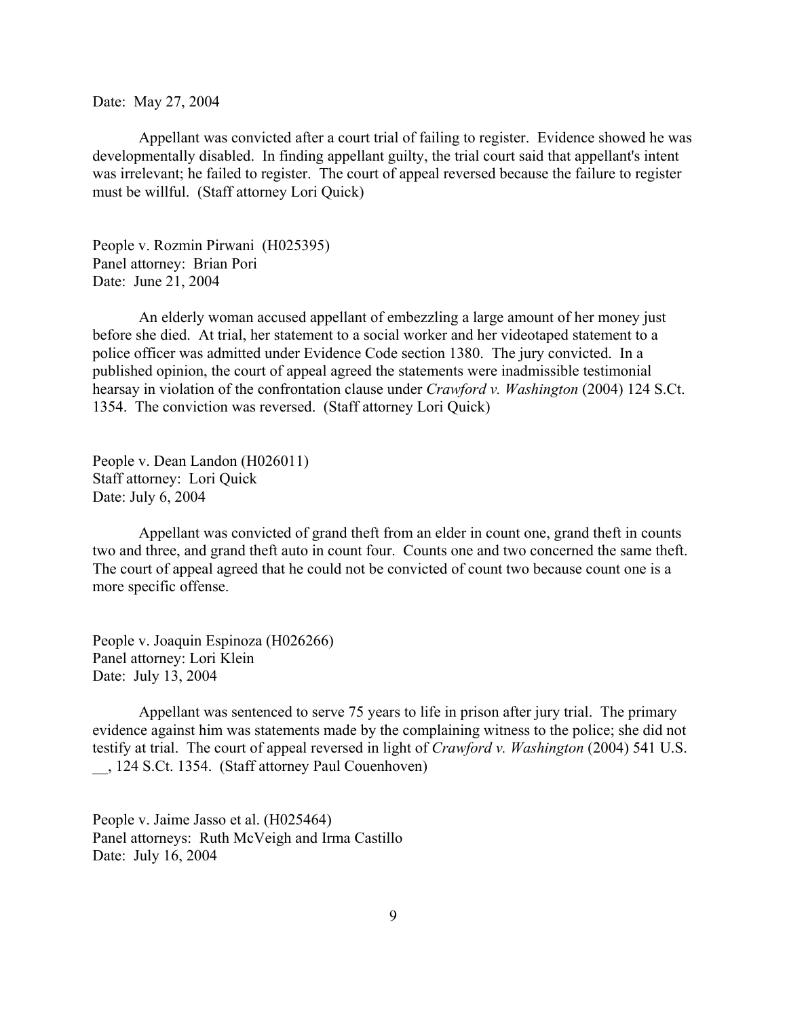Date: May 27, 2004

Appellant was convicted after a court trial of failing to register. Evidence showed he was developmentally disabled. In finding appellant guilty, the trial court said that appellant's intent was irrelevant; he failed to register. The court of appeal reversed because the failure to register must be willful. (Staff attorney Lori Quick)

People v. Rozmin Pirwani (H025395) Panel attorney: Brian Pori Date: June 21, 2004

An elderly woman accused appellant of embezzling a large amount of her money just before she died. At trial, her statement to a social worker and her videotaped statement to a police officer was admitted under Evidence Code section 1380. The jury convicted. In a published opinion, the court of appeal agreed the statements were inadmissible testimonial hearsay in violation of the confrontation clause under *Crawford v. Washington* (2004) 124 S.Ct. 1354. The conviction was reversed. (Staff attorney Lori Quick)

People v. Dean Landon (H026011) Staff attorney: Lori Quick Date: July 6, 2004

Appellant was convicted of grand theft from an elder in count one, grand theft in counts two and three, and grand theft auto in count four. Counts one and two concerned the same theft. The court of appeal agreed that he could not be convicted of count two because count one is a more specific offense.

People v. Joaquin Espinoza (H026266) Panel attorney: Lori Klein Date: July 13, 2004

Appellant was sentenced to serve 75 years to life in prison after jury trial. The primary evidence against him was statements made by the complaining witness to the police; she did not testify at trial. The court of appeal reversed in light of *Crawford v. Washington* (2004) 541 U.S. \_\_, 124 S.Ct. 1354. (Staff attorney Paul Couenhoven)

People v. Jaime Jasso et al. (H025464) Panel attorneys: Ruth McVeigh and Irma Castillo Date: July 16, 2004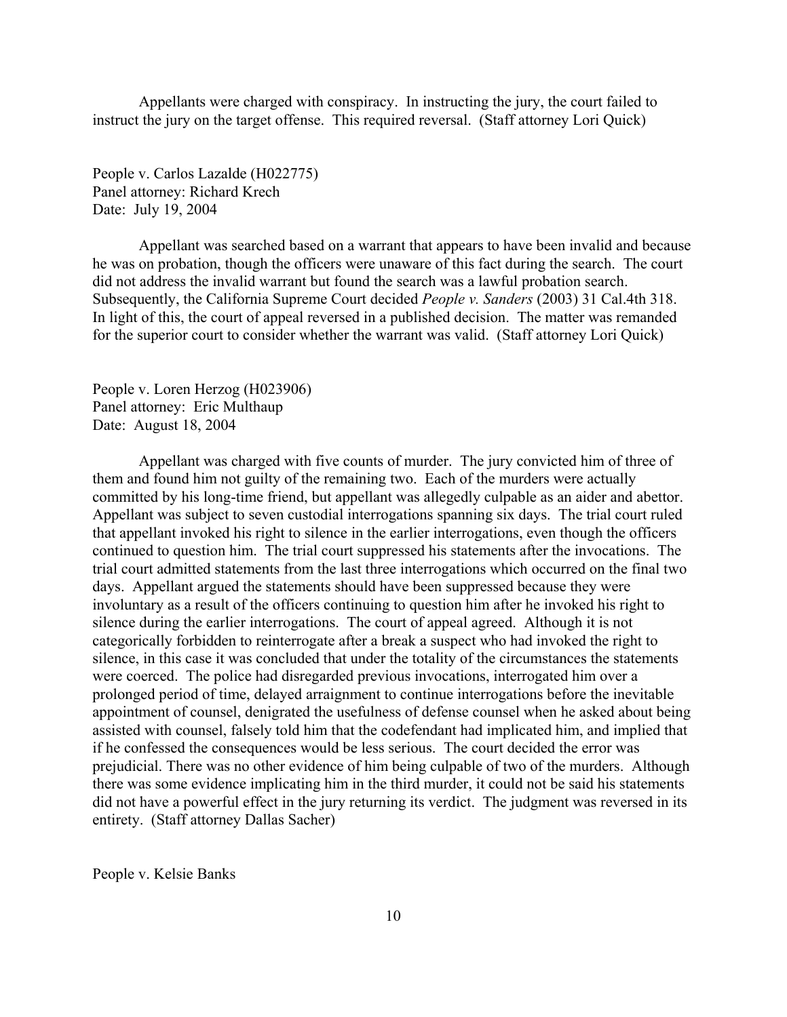Appellants were charged with conspiracy. In instructing the jury, the court failed to instruct the jury on the target offense. This required reversal. (Staff attorney Lori Quick)

People v. Carlos Lazalde (H022775) Panel attorney: Richard Krech Date: July 19, 2004

Appellant was searched based on a warrant that appears to have been invalid and because he was on probation, though the officers were unaware of this fact during the search. The court did not address the invalid warrant but found the search was a lawful probation search. Subsequently, the California Supreme Court decided *People v. Sanders* (2003) 31 Cal.4th 318. In light of this, the court of appeal reversed in a published decision. The matter was remanded for the superior court to consider whether the warrant was valid. (Staff attorney Lori Quick)

People v. Loren Herzog (H023906) Panel attorney: Eric Multhaup Date: August 18, 2004

Appellant was charged with five counts of murder. The jury convicted him of three of them and found him not guilty of the remaining two. Each of the murders were actually committed by his long-time friend, but appellant was allegedly culpable as an aider and abettor. Appellant was subject to seven custodial interrogations spanning six days. The trial court ruled that appellant invoked his right to silence in the earlier interrogations, even though the officers continued to question him. The trial court suppressed his statements after the invocations. The trial court admitted statements from the last three interrogations which occurred on the final two days. Appellant argued the statements should have been suppressed because they were involuntary as a result of the officers continuing to question him after he invoked his right to silence during the earlier interrogations. The court of appeal agreed. Although it is not categorically forbidden to reinterrogate after a break a suspect who had invoked the right to silence, in this case it was concluded that under the totality of the circumstances the statements were coerced. The police had disregarded previous invocations, interrogated him over a prolonged period of time, delayed arraignment to continue interrogations before the inevitable appointment of counsel, denigrated the usefulness of defense counsel when he asked about being assisted with counsel, falsely told him that the codefendant had implicated him, and implied that if he confessed the consequences would be less serious. The court decided the error was prejudicial. There was no other evidence of him being culpable of two of the murders. Although there was some evidence implicating him in the third murder, it could not be said his statements did not have a powerful effect in the jury returning its verdict. The judgment was reversed in its entirety. (Staff attorney Dallas Sacher)

People v. Kelsie Banks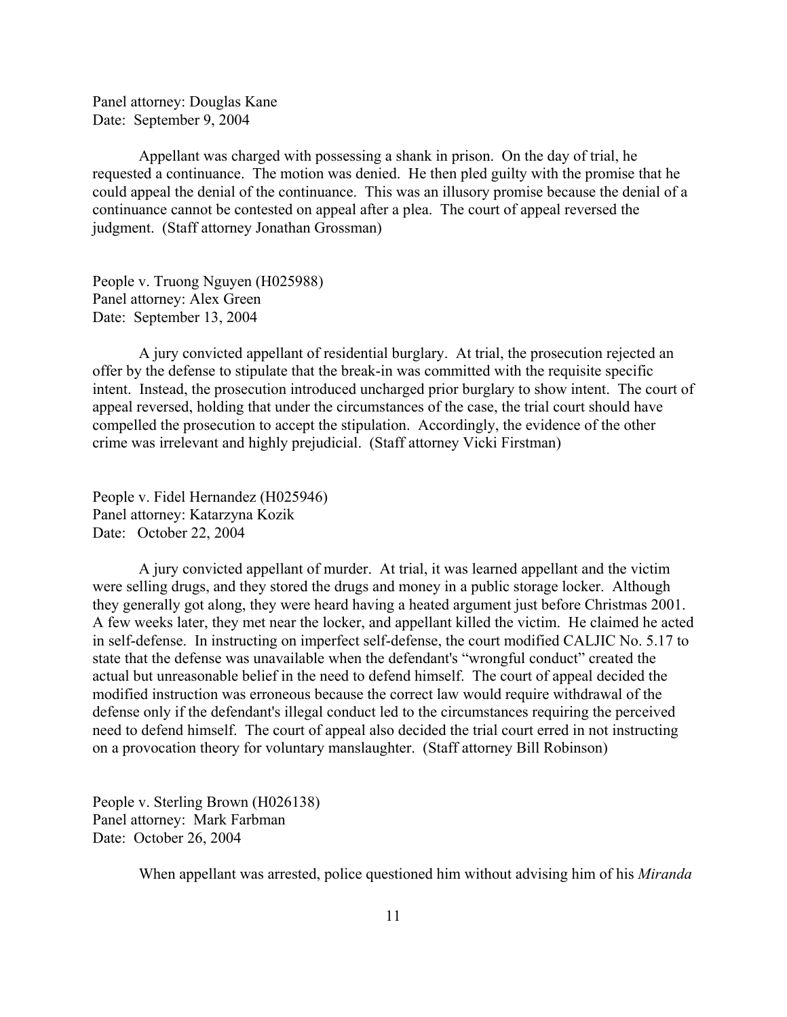Panel attorney: Douglas Kane Date: September 9, 2004

Appellant was charged with possessing a shank in prison. On the day of trial, he requested a continuance. The motion was denied. He then pled guilty with the promise that he could appeal the denial of the continuance. This was an illusory promise because the denial of a continuance cannot be contested on appeal after a plea. The court of appeal reversed the judgment. (Staff attorney Jonathan Grossman)

People v. Truong Nguyen (H025988) Panel attorney: Alex Green Date: September 13, 2004

A jury convicted appellant of residential burglary. At trial, the prosecution rejected an offer by the defense to stipulate that the break-in was committed with the requisite specific intent. Instead, the prosecution introduced uncharged prior burglary to show intent. The court of appeal reversed, holding that under the circumstances of the case, the trial court should have compelled the prosecution to accept the stipulation. Accordingly, the evidence of the other crime was irrelevant and highly prejudicial. (Staff attorney Vicki Firstman)

People v. Fidel Hernandez (H025946) Panel attorney: Katarzyna Kozik Date: October 22, 2004

A jury convicted appellant of murder. At trial, it was learned appellant and the victim were selling drugs, and they stored the drugs and money in a public storage locker. Although they generally got along, they were heard having a heated argument just before Christmas 2001. A few weeks later, they met near the locker, and appellant killed the victim. He claimed he acted in self-defense. In instructing on imperfect self-defense, the court modified CALJIC No. 5.17 to state that the defense was unavailable when the defendant's "wrongful conduct" created the actual but unreasonable belief in the need to defend himself. The court of appeal decided the modified instruction was erroneous because the correct law would require withdrawal of the defense only if the defendant's illegal conduct led to the circumstances requiring the perceived need to defend himself. The court of appeal also decided the trial court erred in not instructing on a provocation theory for voluntary manslaughter. (Staff attorney Bill Robinson)

People v. Sterling Brown (H026138) Panel attorney: Mark Farbman Date: October 26, 2004

When appellant was arrested, police questioned him without advising him of his *Miranda*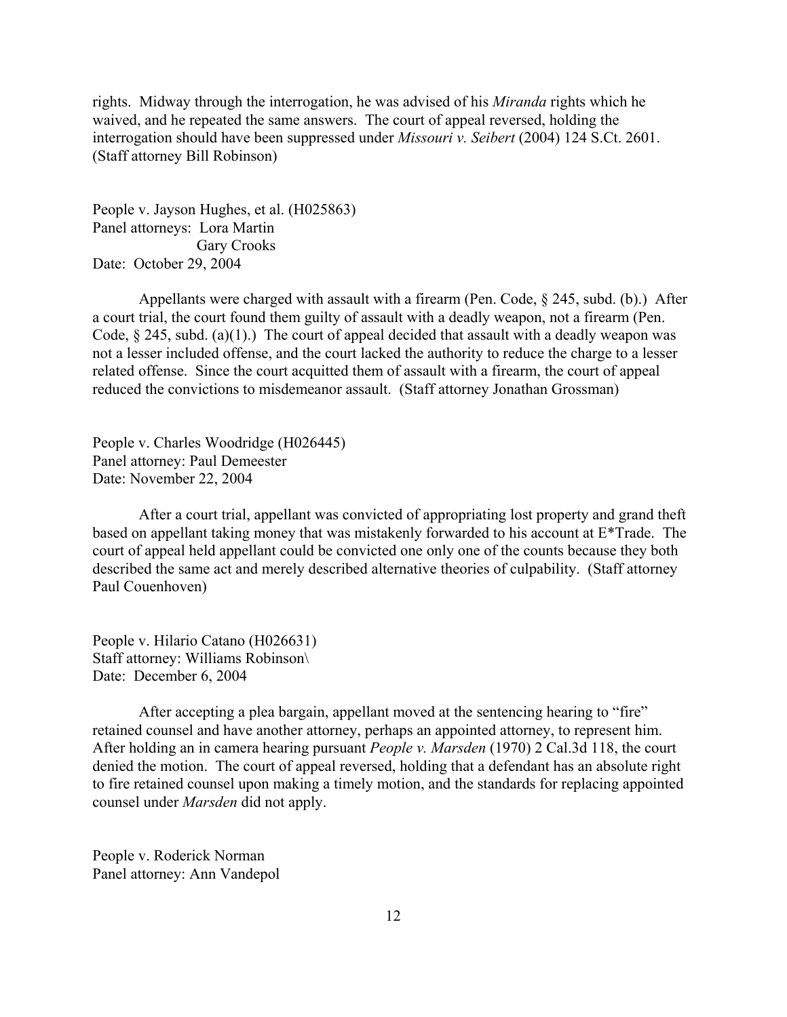rights. Midway through the interrogation, he was advised of his *Miranda* rights which he waived, and he repeated the same answers. The court of appeal reversed, holding the interrogation should have been suppressed under *Missouri v. Seibert* (2004) 124 S.Ct. 2601. (Staff attorney Bill Robinson)

People v. Jayson Hughes, et al. (H025863) Panel attorneys: Lora Martin Gary Crooks Date: October 29, 2004

Appellants were charged with assault with a firearm (Pen. Code, § 245, subd. (b).) After a court trial, the court found them guilty of assault with a deadly weapon, not a firearm (Pen. Code,  $\S$  245, subd. (a)(1).) The court of appeal decided that assault with a deadly weapon was not a lesser included offense, and the court lacked the authority to reduce the charge to a lesser related offense. Since the court acquitted them of assault with a firearm, the court of appeal reduced the convictions to misdemeanor assault. (Staff attorney Jonathan Grossman)

People v. Charles Woodridge (H026445) Panel attorney: Paul Demeester Date: November 22, 2004

After a court trial, appellant was convicted of appropriating lost property and grand theft based on appellant taking money that was mistakenly forwarded to his account at E\*Trade. The court of appeal held appellant could be convicted one only one of the counts because they both described the same act and merely described alternative theories of culpability. (Staff attorney Paul Couenhoven)

People v. Hilario Catano (H026631) Staff attorney: Williams Robinson\ Date: December 6, 2004

After accepting a plea bargain, appellant moved at the sentencing hearing to "fire" retained counsel and have another attorney, perhaps an appointed attorney, to represent him. After holding an in camera hearing pursuant *People v. Marsden* (1970) 2 Cal.3d 118, the court denied the motion. The court of appeal reversed, holding that a defendant has an absolute right to fire retained counsel upon making a timely motion, and the standards for replacing appointed counsel under *Marsden* did not apply.

People v. Roderick Norman Panel attorney: Ann Vandepol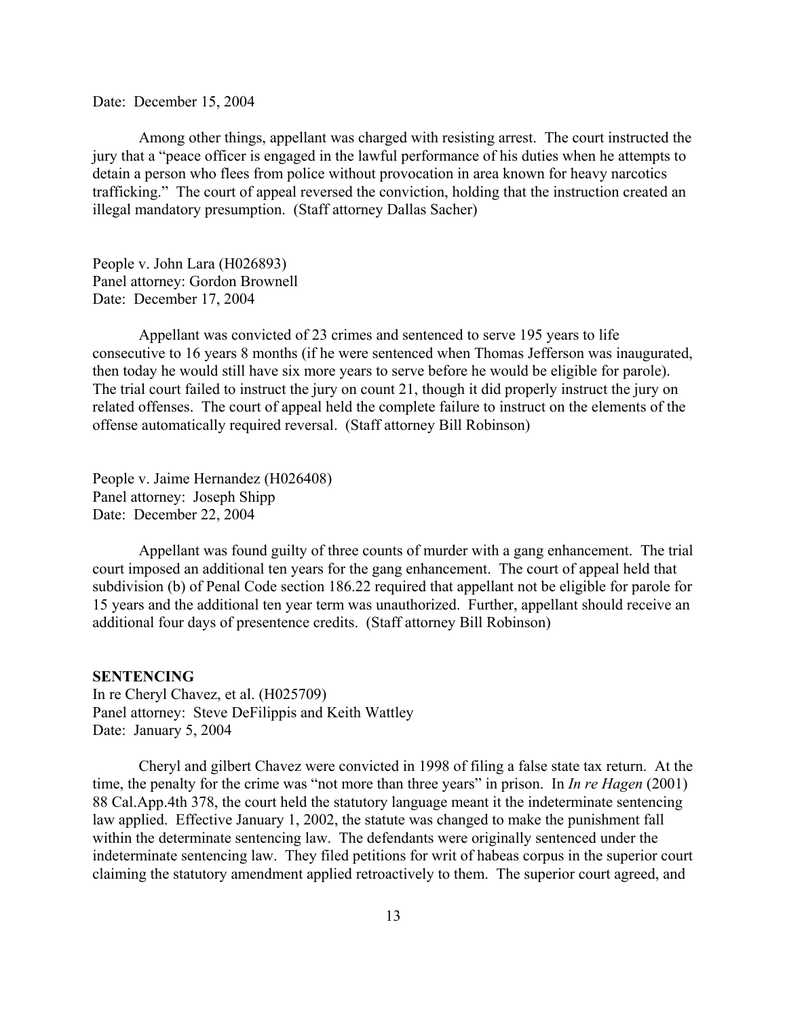<span id="page-12-0"></span>Date: December 15, 2004

Among other things, appellant was charged with resisting arrest. The court instructed the jury that a "peace officer is engaged in the lawful performance of his duties when he attempts to detain a person who flees from police without provocation in area known for heavy narcotics trafficking." The court of appeal reversed the conviction, holding that the instruction created an illegal mandatory presumption. (Staff attorney Dallas Sacher)

People v. John Lara (H026893) Panel attorney: Gordon Brownell Date: December 17, 2004

Appellant was convicted of 23 crimes and sentenced to serve 195 years to life consecutive to 16 years 8 months (if he were sentenced when Thomas Jefferson was inaugurated, then today he would still have six more years to serve before he would be eligible for parole). The trial court failed to instruct the jury on count 21, though it did properly instruct the jury on related offenses. The court of appeal held the complete failure to instruct on the elements of the offense automatically required reversal. (Staff attorney Bill Robinson)

People v. Jaime Hernandez (H026408) Panel attorney: Joseph Shipp Date: December 22, 2004

Appellant was found guilty of three counts of murder with a gang enhancement. The trial court imposed an additional ten years for the gang enhancement. The court of appeal held that subdivision (b) of Penal Code section 186.22 required that appellant not be eligible for parole for 15 years and the additional ten year term was unauthorized. Further, appellant should receive an additional four days of presentence credits. (Staff attorney Bill Robinson)

### **SENTENCING**

In re Cheryl Chavez, et al. (H025709) Panel attorney: Steve DeFilippis and Keith Wattley Date: January 5, 2004

Cheryl and gilbert Chavez were convicted in 1998 of filing a false state tax return. At the time, the penalty for the crime was "not more than three years" in prison. In *In re Hagen* (2001) 88 Cal.App.4th 378, the court held the statutory language meant it the indeterminate sentencing law applied. Effective January 1, 2002, the statute was changed to make the punishment fall within the determinate sentencing law. The defendants were originally sentenced under the indeterminate sentencing law. They filed petitions for writ of habeas corpus in the superior court claiming the statutory amendment applied retroactively to them. The superior court agreed, and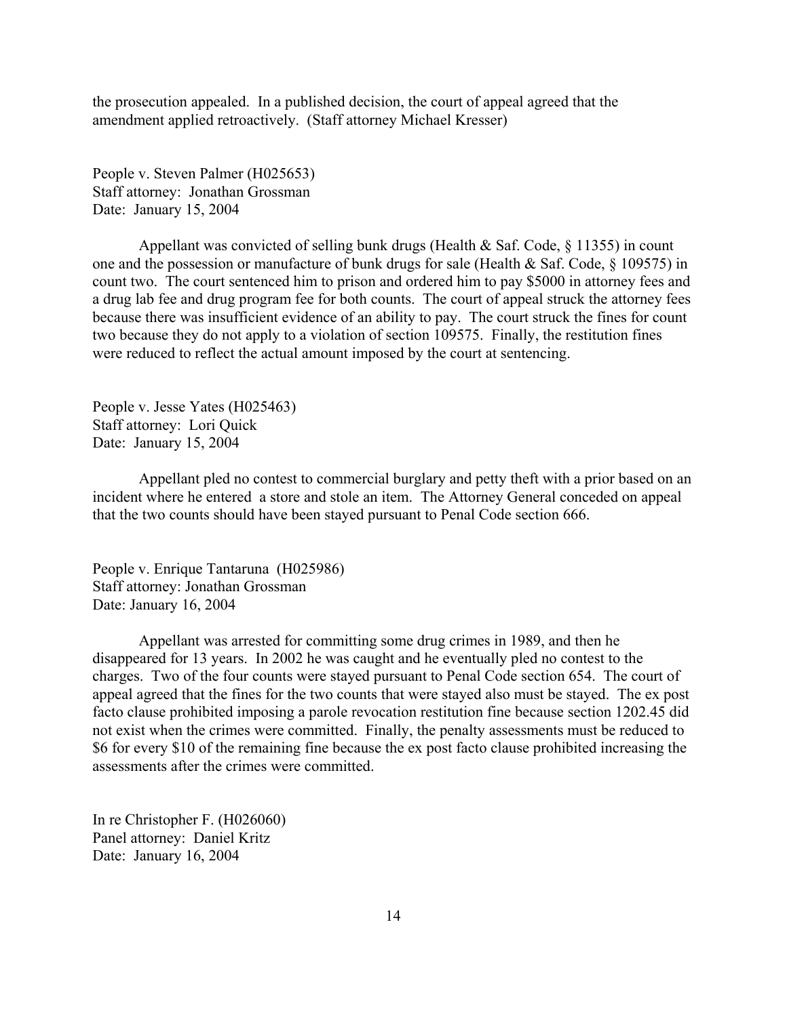the prosecution appealed. In a published decision, the court of appeal agreed that the amendment applied retroactively. (Staff attorney Michael Kresser)

People v. Steven Palmer (H025653) Staff attorney: Jonathan Grossman Date: January 15, 2004

Appellant was convicted of selling bunk drugs (Health & Saf. Code, § 11355) in count one and the possession or manufacture of bunk drugs for sale (Health & Saf. Code, § 109575) in count two. The court sentenced him to prison and ordered him to pay \$5000 in attorney fees and a drug lab fee and drug program fee for both counts. The court of appeal struck the attorney fees because there was insufficient evidence of an ability to pay. The court struck the fines for count two because they do not apply to a violation of section 109575. Finally, the restitution fines were reduced to reflect the actual amount imposed by the court at sentencing.

People v. Jesse Yates (H025463) Staff attorney: Lori Quick Date: January 15, 2004

Appellant pled no contest to commercial burglary and petty theft with a prior based on an incident where he entered a store and stole an item. The Attorney General conceded on appeal that the two counts should have been stayed pursuant to Penal Code section 666.

People v. Enrique Tantaruna (H025986) Staff attorney: Jonathan Grossman Date: January 16, 2004

Appellant was arrested for committing some drug crimes in 1989, and then he disappeared for 13 years. In 2002 he was caught and he eventually pled no contest to the charges. Two of the four counts were stayed pursuant to Penal Code section 654. The court of appeal agreed that the fines for the two counts that were stayed also must be stayed. The ex post facto clause prohibited imposing a parole revocation restitution fine because section 1202.45 did not exist when the crimes were committed. Finally, the penalty assessments must be reduced to \$6 for every \$10 of the remaining fine because the ex post facto clause prohibited increasing the assessments after the crimes were committed.

In re Christopher F. (H026060) Panel attorney: Daniel Kritz Date: January 16, 2004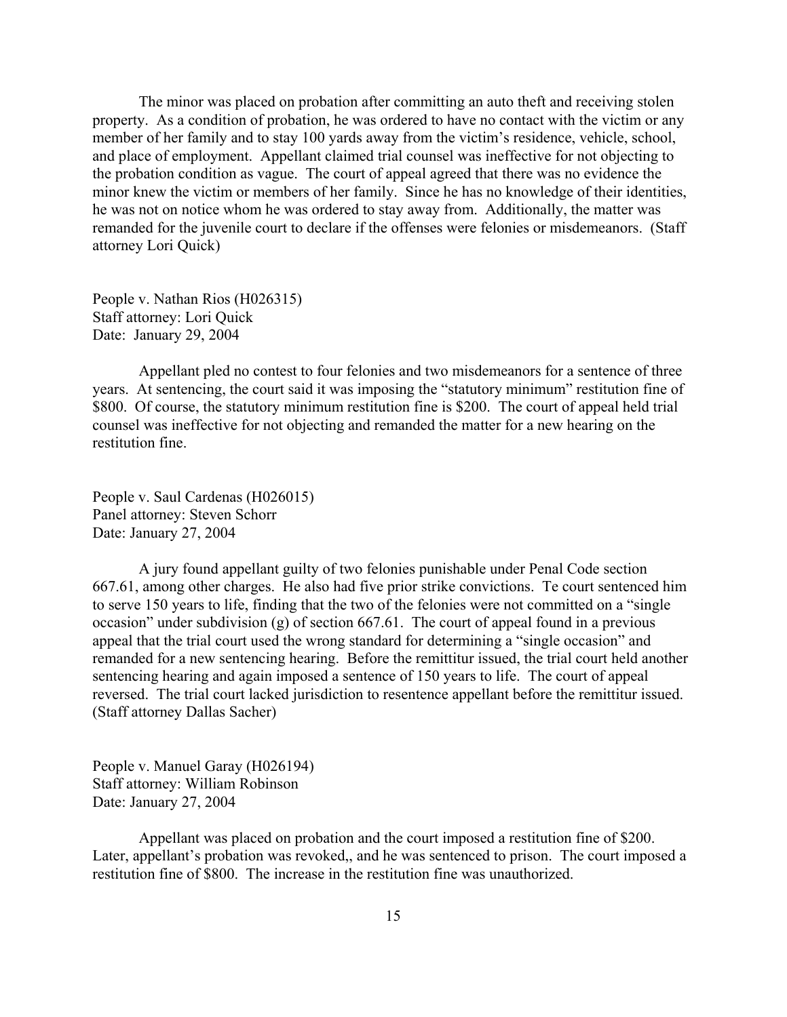The minor was placed on probation after committing an auto theft and receiving stolen property. As a condition of probation, he was ordered to have no contact with the victim or any member of her family and to stay 100 yards away from the victim's residence, vehicle, school, and place of employment. Appellant claimed trial counsel was ineffective for not objecting to the probation condition as vague. The court of appeal agreed that there was no evidence the minor knew the victim or members of her family. Since he has no knowledge of their identities, he was not on notice whom he was ordered to stay away from. Additionally, the matter was remanded for the juvenile court to declare if the offenses were felonies or misdemeanors. (Staff attorney Lori Quick)

People v. Nathan Rios (H026315) Staff attorney: Lori Quick Date: January 29, 2004

Appellant pled no contest to four felonies and two misdemeanors for a sentence of three years. At sentencing, the court said it was imposing the "statutory minimum" restitution fine of \$800. Of course, the statutory minimum restitution fine is \$200. The court of appeal held trial counsel was ineffective for not objecting and remanded the matter for a new hearing on the restitution fine.

People v. Saul Cardenas (H026015) Panel attorney: Steven Schorr Date: January 27, 2004

A jury found appellant guilty of two felonies punishable under Penal Code section 667.61, among other charges. He also had five prior strike convictions. Te court sentenced him to serve 150 years to life, finding that the two of the felonies were not committed on a "single occasion" under subdivision (g) of section 667.61. The court of appeal found in a previous appeal that the trial court used the wrong standard for determining a "single occasion" and remanded for a new sentencing hearing. Before the remittitur issued, the trial court held another sentencing hearing and again imposed a sentence of 150 years to life. The court of appeal reversed. The trial court lacked jurisdiction to resentence appellant before the remittitur issued. (Staff attorney Dallas Sacher)

People v. Manuel Garay (H026194) Staff attorney: William Robinson Date: January 27, 2004

Appellant was placed on probation and the court imposed a restitution fine of \$200. Later, appellant's probation was revoked,, and he was sentenced to prison. The court imposed a restitution fine of \$800. The increase in the restitution fine was unauthorized.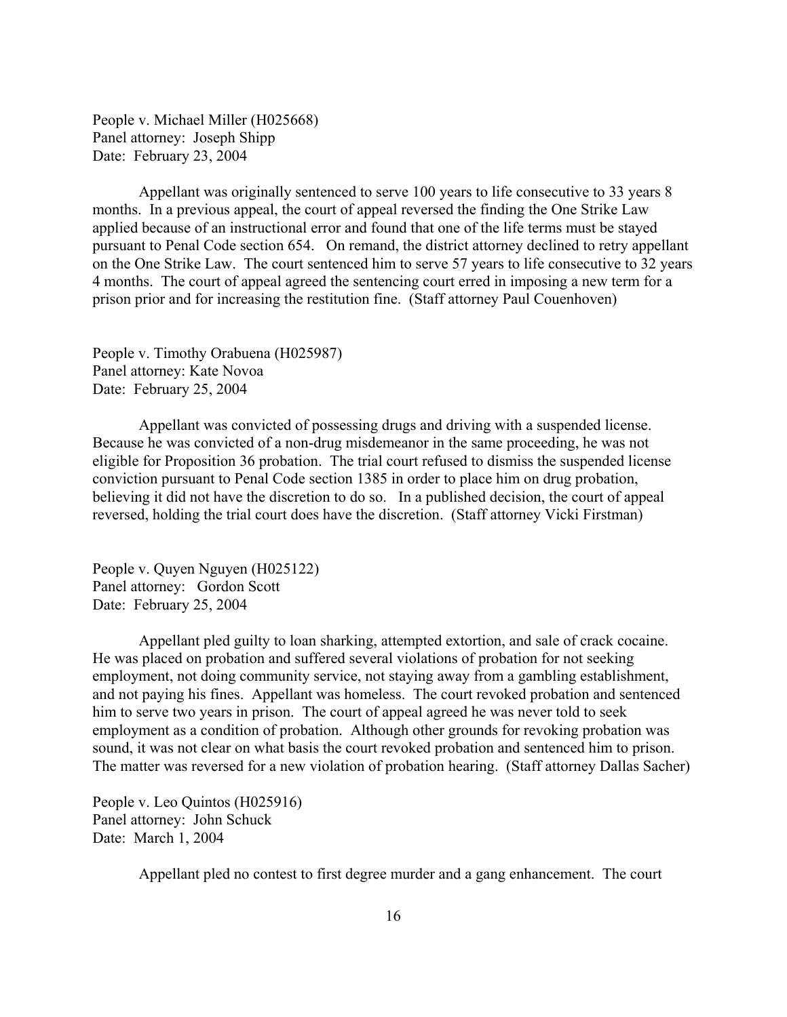People v. Michael Miller (H025668) Panel attorney: Joseph Shipp Date: February 23, 2004

Appellant was originally sentenced to serve 100 years to life consecutive to 33 years 8 months. In a previous appeal, the court of appeal reversed the finding the One Strike Law applied because of an instructional error and found that one of the life terms must be stayed pursuant to Penal Code section 654. On remand, the district attorney declined to retry appellant on the One Strike Law. The court sentenced him to serve 57 years to life consecutive to 32 years 4 months. The court of appeal agreed the sentencing court erred in imposing a new term for a prison prior and for increasing the restitution fine. (Staff attorney Paul Couenhoven)

People v. Timothy Orabuena (H025987) Panel attorney: Kate Novoa Date: February 25, 2004

Appellant was convicted of possessing drugs and driving with a suspended license. Because he was convicted of a non-drug misdemeanor in the same proceeding, he was not eligible for Proposition 36 probation. The trial court refused to dismiss the suspended license conviction pursuant to Penal Code section 1385 in order to place him on drug probation, believing it did not have the discretion to do so. In a published decision, the court of appeal reversed, holding the trial court does have the discretion. (Staff attorney Vicki Firstman)

People v. Quyen Nguyen (H025122) Panel attorney: Gordon Scott Date: February 25, 2004

Appellant pled guilty to loan sharking, attempted extortion, and sale of crack cocaine. He was placed on probation and suffered several violations of probation for not seeking employment, not doing community service, not staying away from a gambling establishment, and not paying his fines. Appellant was homeless. The court revoked probation and sentenced him to serve two years in prison. The court of appeal agreed he was never told to seek employment as a condition of probation. Although other grounds for revoking probation was sound, it was not clear on what basis the court revoked probation and sentenced him to prison. The matter was reversed for a new violation of probation hearing. (Staff attorney Dallas Sacher)

People v. Leo Quintos (H025916) Panel attorney: John Schuck Date: March 1, 2004

Appellant pled no contest to first degree murder and a gang enhancement. The court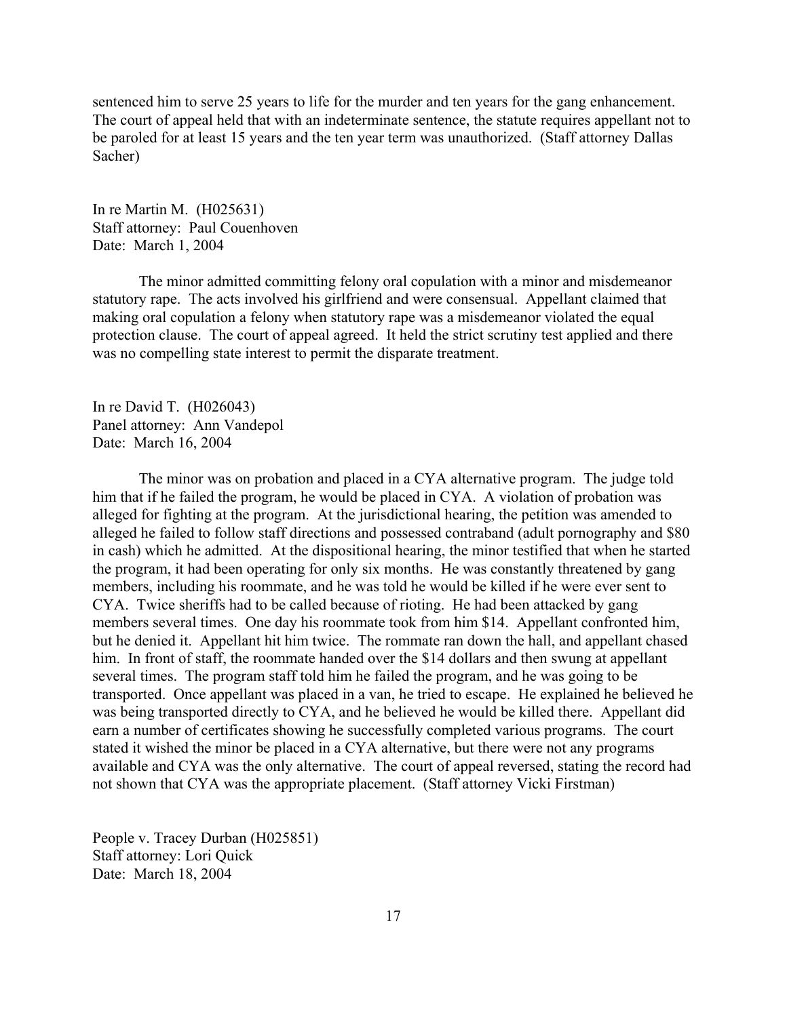sentenced him to serve 25 years to life for the murder and ten years for the gang enhancement. The court of appeal held that with an indeterminate sentence, the statute requires appellant not to be paroled for at least 15 years and the ten year term was unauthorized. (Staff attorney Dallas Sacher)

In re Martin M. (H025631) Staff attorney: Paul Couenhoven Date: March 1, 2004

The minor admitted committing felony oral copulation with a minor and misdemeanor statutory rape. The acts involved his girlfriend and were consensual. Appellant claimed that making oral copulation a felony when statutory rape was a misdemeanor violated the equal protection clause. The court of appeal agreed. It held the strict scrutiny test applied and there was no compelling state interest to permit the disparate treatment.

In re David T. (H026043) Panel attorney: Ann Vandepol Date: March 16, 2004

The minor was on probation and placed in a CYA alternative program. The judge told him that if he failed the program, he would be placed in CYA. A violation of probation was alleged for fighting at the program. At the jurisdictional hearing, the petition was amended to alleged he failed to follow staff directions and possessed contraband (adult pornography and \$80 in cash) which he admitted. At the dispositional hearing, the minor testified that when he started the program, it had been operating for only six months. He was constantly threatened by gang members, including his roommate, and he was told he would be killed if he were ever sent to CYA. Twice sheriffs had to be called because of rioting. He had been attacked by gang members several times. One day his roommate took from him \$14. Appellant confronted him, but he denied it. Appellant hit him twice. The rommate ran down the hall, and appellant chased him. In front of staff, the roommate handed over the \$14 dollars and then swung at appellant several times. The program staff told him he failed the program, and he was going to be transported. Once appellant was placed in a van, he tried to escape. He explained he believed he was being transported directly to CYA, and he believed he would be killed there. Appellant did earn a number of certificates showing he successfully completed various programs. The court stated it wished the minor be placed in a CYA alternative, but there were not any programs available and CYA was the only alternative. The court of appeal reversed, stating the record had not shown that CYA was the appropriate placement. (Staff attorney Vicki Firstman)

People v. Tracey Durban (H025851) Staff attorney: Lori Quick Date: March 18, 2004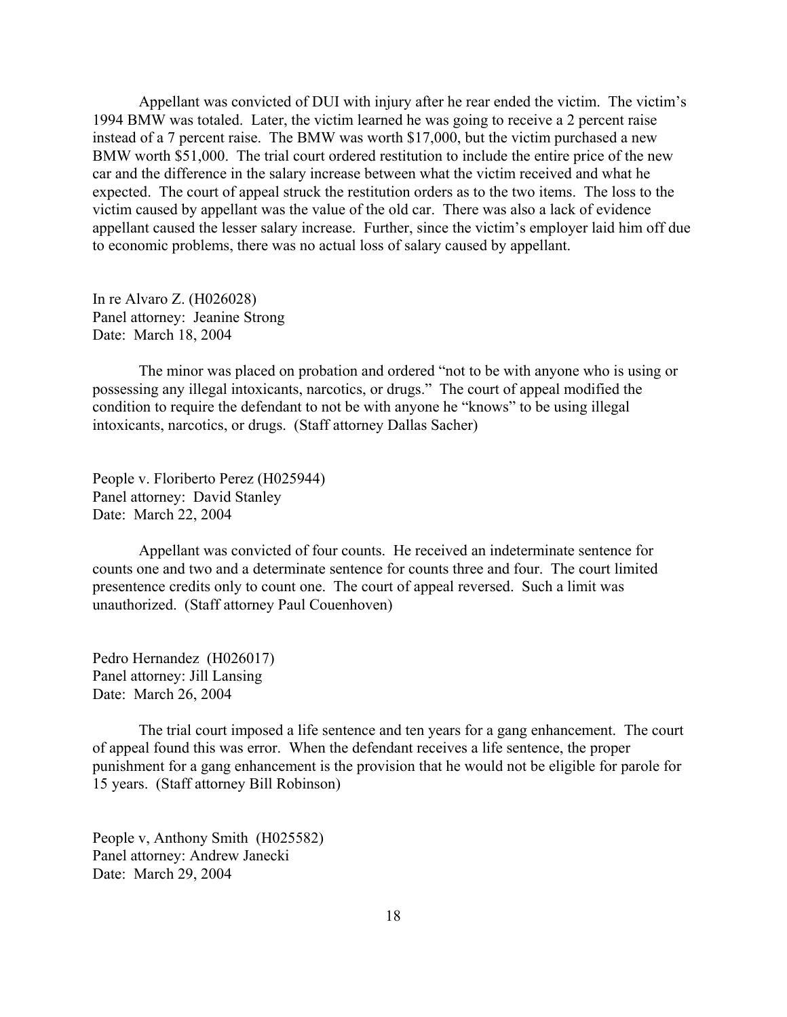Appellant was convicted of DUI with injury after he rear ended the victim. The victim's 1994 BMW was totaled. Later, the victim learned he was going to receive a 2 percent raise instead of a 7 percent raise. The BMW was worth \$17,000, but the victim purchased a new BMW worth \$51,000. The trial court ordered restitution to include the entire price of the new car and the difference in the salary increase between what the victim received and what he expected. The court of appeal struck the restitution orders as to the two items. The loss to the victim caused by appellant was the value of the old car. There was also a lack of evidence appellant caused the lesser salary increase. Further, since the victim's employer laid him off due to economic problems, there was no actual loss of salary caused by appellant.

In re Alvaro Z. (H026028) Panel attorney: Jeanine Strong Date: March 18, 2004

The minor was placed on probation and ordered "not to be with anyone who is using or possessing any illegal intoxicants, narcotics, or drugs." The court of appeal modified the condition to require the defendant to not be with anyone he "knows" to be using illegal intoxicants, narcotics, or drugs. (Staff attorney Dallas Sacher)

People v. Floriberto Perez (H025944) Panel attorney: David Stanley Date: March 22, 2004

Appellant was convicted of four counts. He received an indeterminate sentence for counts one and two and a determinate sentence for counts three and four. The court limited presentence credits only to count one. The court of appeal reversed. Such a limit was unauthorized. (Staff attorney Paul Couenhoven)

Pedro Hernandez (H026017) Panel attorney: Jill Lansing Date: March 26, 2004

The trial court imposed a life sentence and ten years for a gang enhancement. The court of appeal found this was error. When the defendant receives a life sentence, the proper punishment for a gang enhancement is the provision that he would not be eligible for parole for 15 years. (Staff attorney Bill Robinson)

People v, Anthony Smith (H025582) Panel attorney: Andrew Janecki Date: March 29, 2004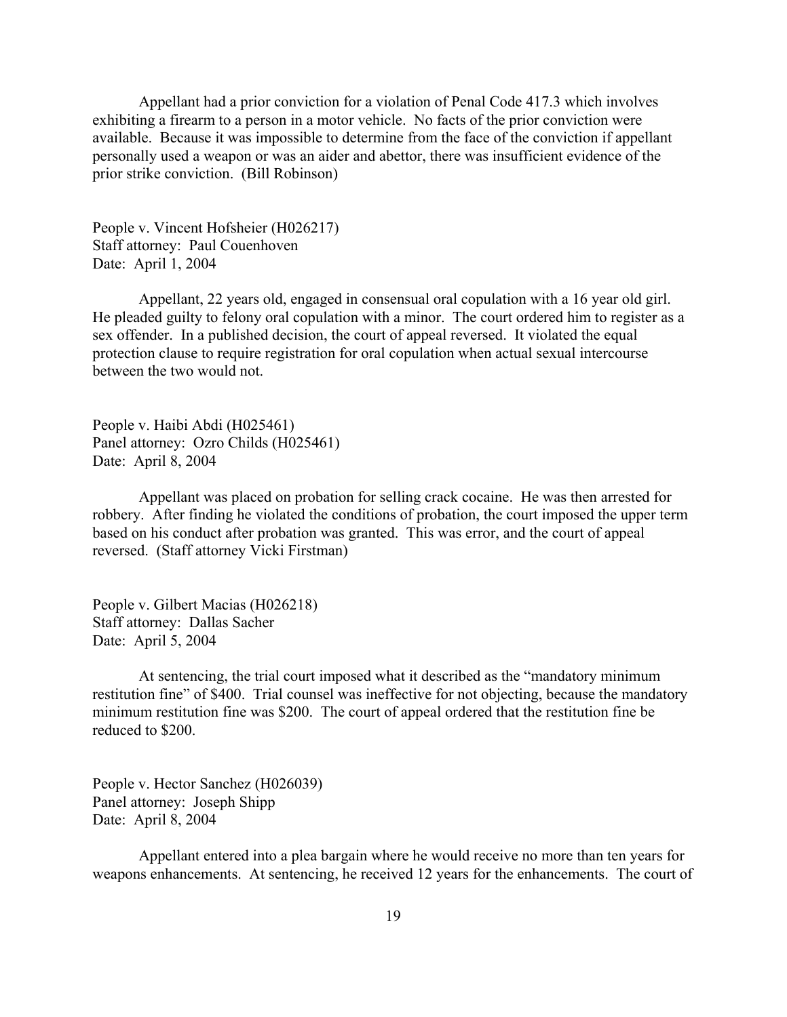Appellant had a prior conviction for a violation of Penal Code 417.3 which involves exhibiting a firearm to a person in a motor vehicle. No facts of the prior conviction were available. Because it was impossible to determine from the face of the conviction if appellant personally used a weapon or was an aider and abettor, there was insufficient evidence of the prior strike conviction. (Bill Robinson)

People v. Vincent Hofsheier (H026217) Staff attorney: Paul Couenhoven Date: April 1, 2004

Appellant, 22 years old, engaged in consensual oral copulation with a 16 year old girl. He pleaded guilty to felony oral copulation with a minor. The court ordered him to register as a sex offender. In a published decision, the court of appeal reversed. It violated the equal protection clause to require registration for oral copulation when actual sexual intercourse between the two would not.

People v. Haibi Abdi (H025461) Panel attorney: Ozro Childs (H025461) Date: April 8, 2004

Appellant was placed on probation for selling crack cocaine. He was then arrested for robbery. After finding he violated the conditions of probation, the court imposed the upper term based on his conduct after probation was granted. This was error, and the court of appeal reversed. (Staff attorney Vicki Firstman)

People v. Gilbert Macias (H026218) Staff attorney: Dallas Sacher Date: April 5, 2004

At sentencing, the trial court imposed what it described as the "mandatory minimum restitution fine" of \$400. Trial counsel was ineffective for not objecting, because the mandatory minimum restitution fine was \$200. The court of appeal ordered that the restitution fine be reduced to \$200.

People v. Hector Sanchez (H026039) Panel attorney: Joseph Shipp Date: April 8, 2004

Appellant entered into a plea bargain where he would receive no more than ten years for weapons enhancements. At sentencing, he received 12 years for the enhancements. The court of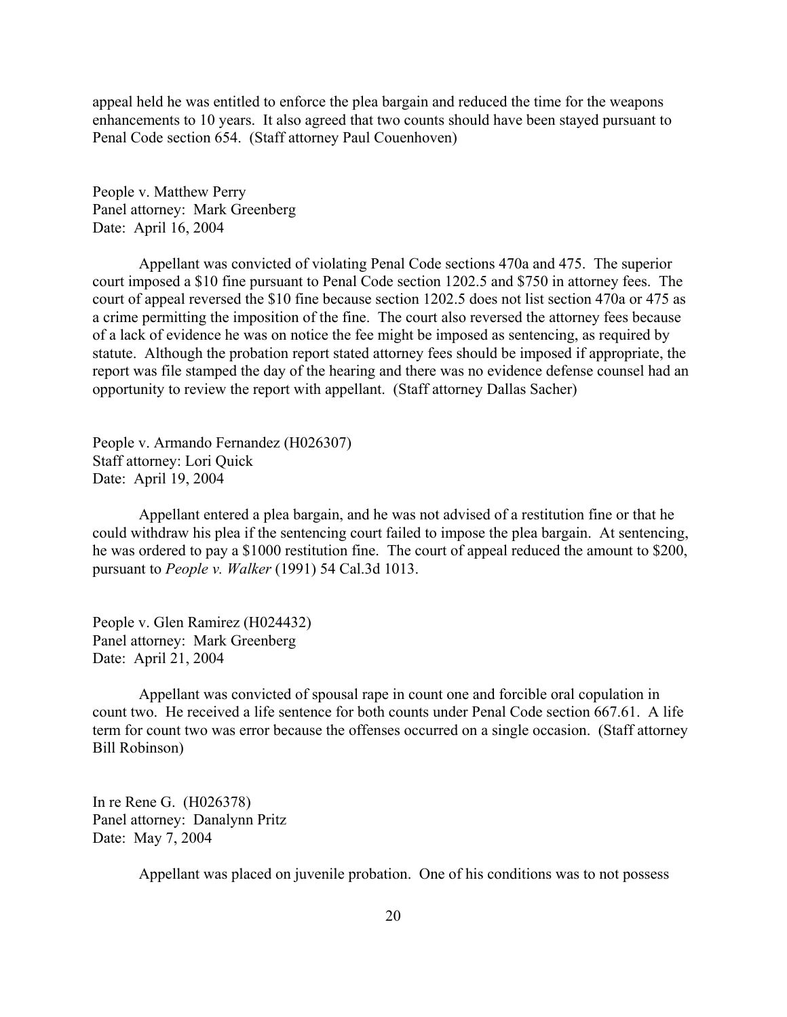appeal held he was entitled to enforce the plea bargain and reduced the time for the weapons enhancements to 10 years. It also agreed that two counts should have been stayed pursuant to Penal Code section 654. (Staff attorney Paul Couenhoven)

People v. Matthew Perry Panel attorney: Mark Greenberg Date: April 16, 2004

Appellant was convicted of violating Penal Code sections 470a and 475. The superior court imposed a \$10 fine pursuant to Penal Code section 1202.5 and \$750 in attorney fees. The court of appeal reversed the \$10 fine because section 1202.5 does not list section 470a or 475 as a crime permitting the imposition of the fine. The court also reversed the attorney fees because of a lack of evidence he was on notice the fee might be imposed as sentencing, as required by statute. Although the probation report stated attorney fees should be imposed if appropriate, the report was file stamped the day of the hearing and there was no evidence defense counsel had an opportunity to review the report with appellant. (Staff attorney Dallas Sacher)

People v. Armando Fernandez (H026307) Staff attorney: Lori Quick Date: April 19, 2004

Appellant entered a plea bargain, and he was not advised of a restitution fine or that he could withdraw his plea if the sentencing court failed to impose the plea bargain. At sentencing, he was ordered to pay a \$1000 restitution fine. The court of appeal reduced the amount to \$200, pursuant to *People v. Walker* (1991) 54 Cal.3d 1013.

People v. Glen Ramirez (H024432) Panel attorney: Mark Greenberg Date: April 21, 2004

Appellant was convicted of spousal rape in count one and forcible oral copulation in count two. He received a life sentence for both counts under Penal Code section 667.61. A life term for count two was error because the offenses occurred on a single occasion. (Staff attorney Bill Robinson)

In re Rene G. (H026378) Panel attorney: Danalynn Pritz Date: May 7, 2004

Appellant was placed on juvenile probation. One of his conditions was to not possess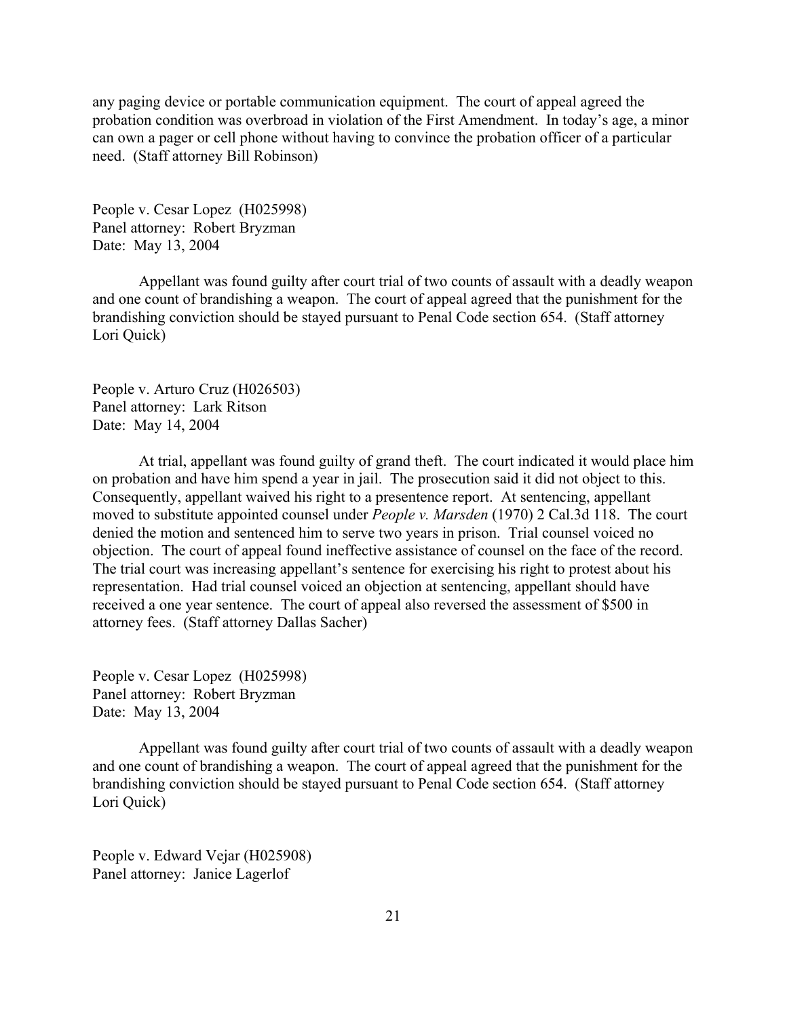any paging device or portable communication equipment. The court of appeal agreed the probation condition was overbroad in violation of the First Amendment. In today's age, a minor can own a pager or cell phone without having to convince the probation officer of a particular need. (Staff attorney Bill Robinson)

People v. Cesar Lopez (H025998) Panel attorney: Robert Bryzman Date: May 13, 2004

Appellant was found guilty after court trial of two counts of assault with a deadly weapon and one count of brandishing a weapon. The court of appeal agreed that the punishment for the brandishing conviction should be stayed pursuant to Penal Code section 654. (Staff attorney Lori Quick)

People v. Arturo Cruz (H026503) Panel attorney: Lark Ritson Date: May 14, 2004

At trial, appellant was found guilty of grand theft. The court indicated it would place him on probation and have him spend a year in jail. The prosecution said it did not object to this. Consequently, appellant waived his right to a presentence report. At sentencing, appellant moved to substitute appointed counsel under *People v. Marsden* (1970) 2 Cal.3d 118. The court denied the motion and sentenced him to serve two years in prison. Trial counsel voiced no objection. The court of appeal found ineffective assistance of counsel on the face of the record. The trial court was increasing appellant's sentence for exercising his right to protest about his representation. Had trial counsel voiced an objection at sentencing, appellant should have received a one year sentence. The court of appeal also reversed the assessment of \$500 in attorney fees. (Staff attorney Dallas Sacher)

People v. Cesar Lopez (H025998) Panel attorney: Robert Bryzman Date: May 13, 2004

Appellant was found guilty after court trial of two counts of assault with a deadly weapon and one count of brandishing a weapon. The court of appeal agreed that the punishment for the brandishing conviction should be stayed pursuant to Penal Code section 654. (Staff attorney Lori Quick)

People v. Edward Vejar (H025908) Panel attorney: Janice Lagerlof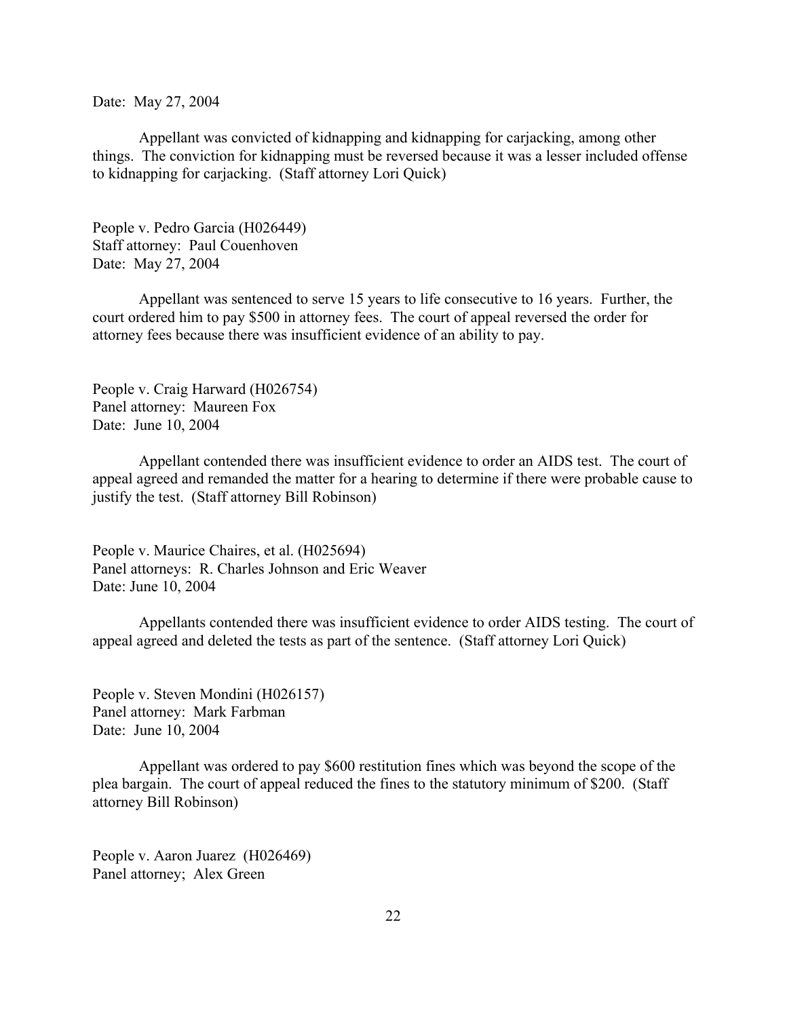Date: May 27, 2004

Appellant was convicted of kidnapping and kidnapping for carjacking, among other things. The conviction for kidnapping must be reversed because it was a lesser included offense to kidnapping for carjacking. (Staff attorney Lori Quick)

People v. Pedro Garcia (H026449) Staff attorney: Paul Couenhoven Date: May 27, 2004

Appellant was sentenced to serve 15 years to life consecutive to 16 years. Further, the court ordered him to pay \$500 in attorney fees. The court of appeal reversed the order for attorney fees because there was insufficient evidence of an ability to pay.

People v. Craig Harward (H026754) Panel attorney: Maureen Fox Date: June 10, 2004

Appellant contended there was insufficient evidence to order an AIDS test. The court of appeal agreed and remanded the matter for a hearing to determine if there were probable cause to justify the test. (Staff attorney Bill Robinson)

People v. Maurice Chaires, et al. (H025694) Panel attorneys: R. Charles Johnson and Eric Weaver Date: June 10, 2004

Appellants contended there was insufficient evidence to order AIDS testing. The court of appeal agreed and deleted the tests as part of the sentence. (Staff attorney Lori Quick)

People v. Steven Mondini (H026157) Panel attorney: Mark Farbman Date: June 10, 2004

Appellant was ordered to pay \$600 restitution fines which was beyond the scope of the plea bargain. The court of appeal reduced the fines to the statutory minimum of \$200. (Staff attorney Bill Robinson)

People v. Aaron Juarez (H026469) Panel attorney; Alex Green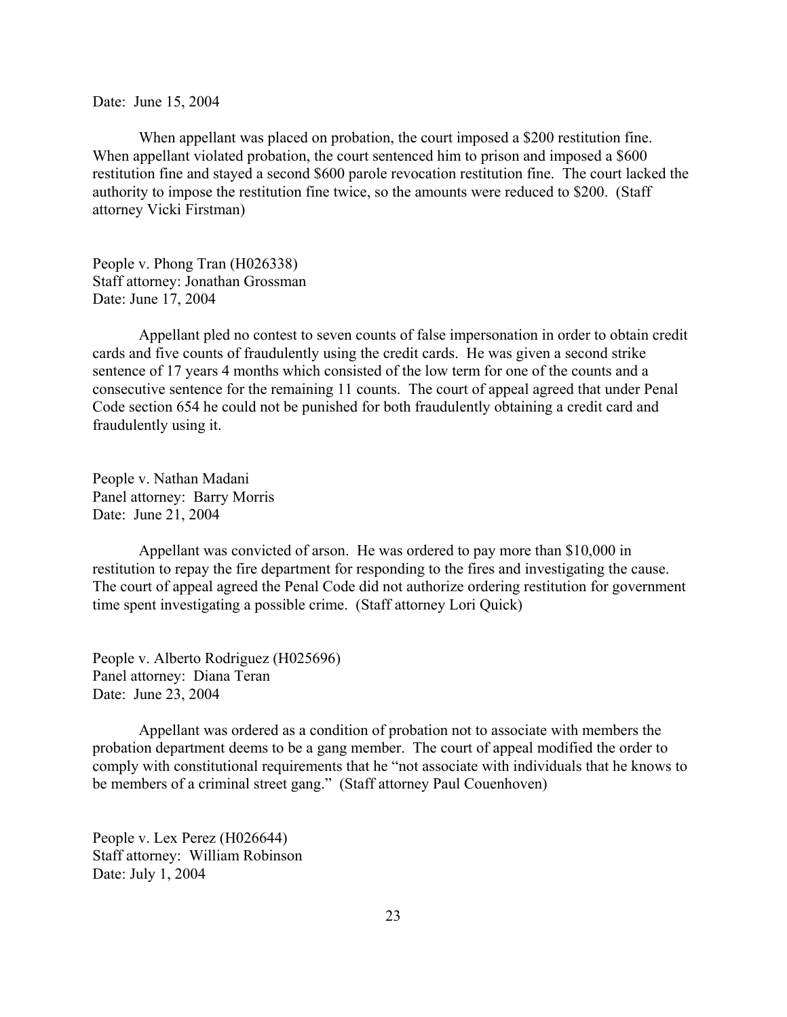Date: June 15, 2004

When appellant was placed on probation, the court imposed a \$200 restitution fine. When appellant violated probation, the court sentenced him to prison and imposed a \$600 restitution fine and stayed a second \$600 parole revocation restitution fine. The court lacked the authority to impose the restitution fine twice, so the amounts were reduced to \$200. (Staff attorney Vicki Firstman)

People v. Phong Tran (H026338) Staff attorney: Jonathan Grossman Date: June 17, 2004

Appellant pled no contest to seven counts of false impersonation in order to obtain credit cards and five counts of fraudulently using the credit cards. He was given a second strike sentence of 17 years 4 months which consisted of the low term for one of the counts and a consecutive sentence for the remaining 11 counts. The court of appeal agreed that under Penal Code section 654 he could not be punished for both fraudulently obtaining a credit card and fraudulently using it.

People v. Nathan Madani Panel attorney: Barry Morris Date: June 21, 2004

Appellant was convicted of arson. He was ordered to pay more than \$10,000 in restitution to repay the fire department for responding to the fires and investigating the cause. The court of appeal agreed the Penal Code did not authorize ordering restitution for government time spent investigating a possible crime. (Staff attorney Lori Quick)

People v. Alberto Rodriguez (H025696) Panel attorney: Diana Teran Date: June 23, 2004

Appellant was ordered as a condition of probation not to associate with members the probation department deems to be a gang member. The court of appeal modified the order to comply with constitutional requirements that he "not associate with individuals that he knows to be members of a criminal street gang." (Staff attorney Paul Couenhoven)

People v. Lex Perez (H026644) Staff attorney: William Robinson Date: July 1, 2004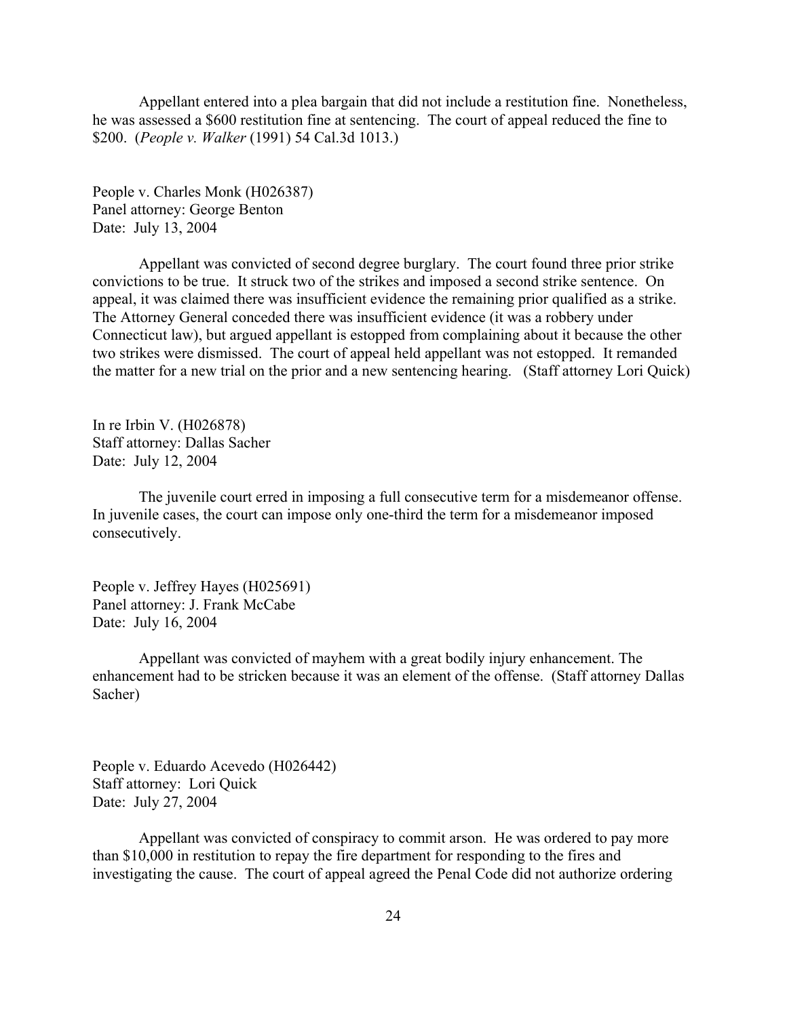Appellant entered into a plea bargain that did not include a restitution fine. Nonetheless, he was assessed a \$600 restitution fine at sentencing. The court of appeal reduced the fine to \$200. (*People v. Walker* (1991) 54 Cal.3d 1013.)

People v. Charles Monk (H026387) Panel attorney: George Benton Date: July 13, 2004

Appellant was convicted of second degree burglary. The court found three prior strike convictions to be true. It struck two of the strikes and imposed a second strike sentence. On appeal, it was claimed there was insufficient evidence the remaining prior qualified as a strike. The Attorney General conceded there was insufficient evidence (it was a robbery under Connecticut law), but argued appellant is estopped from complaining about it because the other two strikes were dismissed. The court of appeal held appellant was not estopped. It remanded the matter for a new trial on the prior and a new sentencing hearing. (Staff attorney Lori Quick)

In re Irbin V. (H026878) Staff attorney: Dallas Sacher Date: July 12, 2004

The juvenile court erred in imposing a full consecutive term for a misdemeanor offense. In juvenile cases, the court can impose only one-third the term for a misdemeanor imposed consecutively.

People v. Jeffrey Hayes (H025691) Panel attorney: J. Frank McCabe Date: July 16, 2004

Appellant was convicted of mayhem with a great bodily injury enhancement. The enhancement had to be stricken because it was an element of the offense. (Staff attorney Dallas Sacher)

People v. Eduardo Acevedo (H026442) Staff attorney: Lori Quick Date: July 27, 2004

Appellant was convicted of conspiracy to commit arson. He was ordered to pay more than \$10,000 in restitution to repay the fire department for responding to the fires and investigating the cause. The court of appeal agreed the Penal Code did not authorize ordering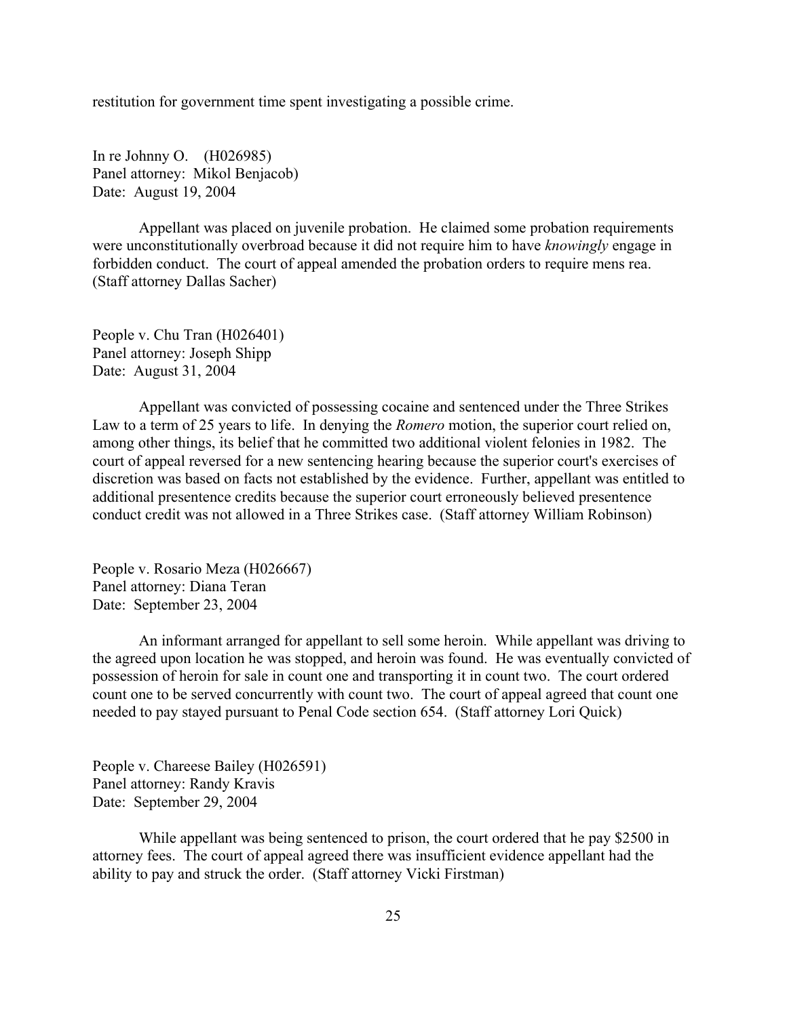restitution for government time spent investigating a possible crime.

In re Johnny O. (H026985) Panel attorney: Mikol Benjacob) Date: August 19, 2004

Appellant was placed on juvenile probation. He claimed some probation requirements were unconstitutionally overbroad because it did not require him to have *knowingly* engage in forbidden conduct. The court of appeal amended the probation orders to require mens rea. (Staff attorney Dallas Sacher)

People v. Chu Tran (H026401) Panel attorney: Joseph Shipp Date: August 31, 2004

Appellant was convicted of possessing cocaine and sentenced under the Three Strikes Law to a term of 25 years to life. In denying the *Romero* motion, the superior court relied on, among other things, its belief that he committed two additional violent felonies in 1982. The court of appeal reversed for a new sentencing hearing because the superior court's exercises of discretion was based on facts not established by the evidence. Further, appellant was entitled to additional presentence credits because the superior court erroneously believed presentence conduct credit was not allowed in a Three Strikes case. (Staff attorney William Robinson)

People v. Rosario Meza (H026667) Panel attorney: Diana Teran Date: September 23, 2004

An informant arranged for appellant to sell some heroin. While appellant was driving to the agreed upon location he was stopped, and heroin was found. He was eventually convicted of possession of heroin for sale in count one and transporting it in count two. The court ordered count one to be served concurrently with count two. The court of appeal agreed that count one needed to pay stayed pursuant to Penal Code section 654. (Staff attorney Lori Quick)

People v. Chareese Bailey (H026591) Panel attorney: Randy Kravis Date: September 29, 2004

While appellant was being sentenced to prison, the court ordered that he pay \$2500 in attorney fees. The court of appeal agreed there was insufficient evidence appellant had the ability to pay and struck the order. (Staff attorney Vicki Firstman)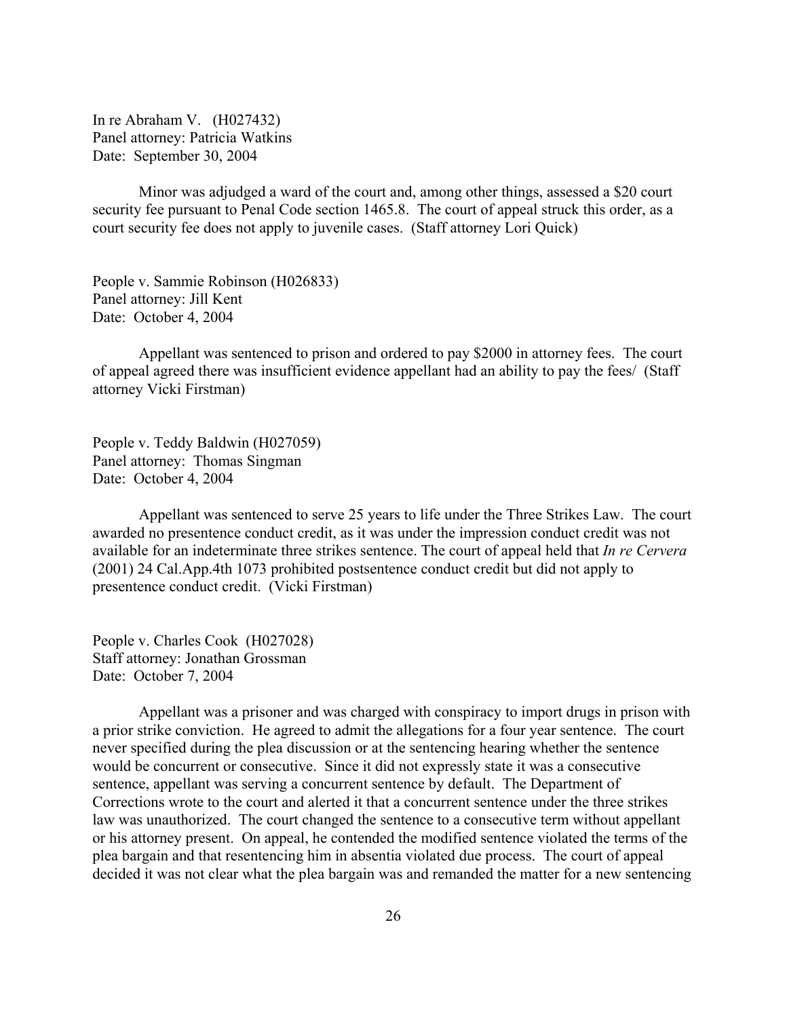In re Abraham V. (H027432) Panel attorney: Patricia Watkins Date: September 30, 2004

Minor was adjudged a ward of the court and, among other things, assessed a \$20 court security fee pursuant to Penal Code section 1465.8. The court of appeal struck this order, as a court security fee does not apply to juvenile cases. (Staff attorney Lori Quick)

People v. Sammie Robinson (H026833) Panel attorney: Jill Kent Date: October 4, 2004

Appellant was sentenced to prison and ordered to pay \$2000 in attorney fees. The court of appeal agreed there was insufficient evidence appellant had an ability to pay the fees/ (Staff attorney Vicki Firstman)

People v. Teddy Baldwin (H027059) Panel attorney: Thomas Singman Date: October 4, 2004

Appellant was sentenced to serve 25 years to life under the Three Strikes Law. The court awarded no presentence conduct credit, as it was under the impression conduct credit was not available for an indeterminate three strikes sentence. The court of appeal held that *In re Cervera* (2001) 24 Cal.App.4th 1073 prohibited postsentence conduct credit but did not apply to presentence conduct credit. (Vicki Firstman)

People v. Charles Cook (H027028) Staff attorney: Jonathan Grossman Date: October 7, 2004

Appellant was a prisoner and was charged with conspiracy to import drugs in prison with a prior strike conviction. He agreed to admit the allegations for a four year sentence. The court never specified during the plea discussion or at the sentencing hearing whether the sentence would be concurrent or consecutive. Since it did not expressly state it was a consecutive sentence, appellant was serving a concurrent sentence by default. The Department of Corrections wrote to the court and alerted it that a concurrent sentence under the three strikes law was unauthorized. The court changed the sentence to a consecutive term without appellant or his attorney present. On appeal, he contended the modified sentence violated the terms of the plea bargain and that resentencing him in absentia violated due process. The court of appeal decided it was not clear what the plea bargain was and remanded the matter for a new sentencing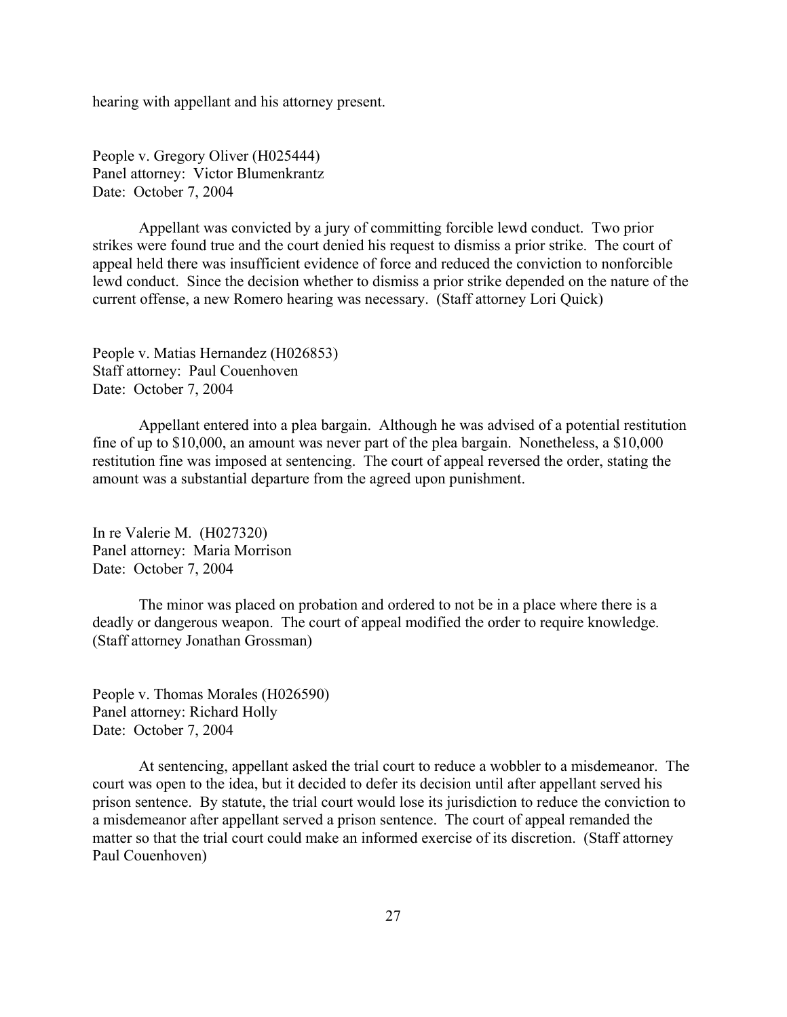hearing with appellant and his attorney present.

People v. Gregory Oliver (H025444) Panel attorney: Victor Blumenkrantz Date: October 7, 2004

Appellant was convicted by a jury of committing forcible lewd conduct. Two prior strikes were found true and the court denied his request to dismiss a prior strike. The court of appeal held there was insufficient evidence of force and reduced the conviction to nonforcible lewd conduct. Since the decision whether to dismiss a prior strike depended on the nature of the current offense, a new Romero hearing was necessary. (Staff attorney Lori Quick)

People v. Matias Hernandez (H026853) Staff attorney: Paul Couenhoven Date: October 7, 2004

Appellant entered into a plea bargain. Although he was advised of a potential restitution fine of up to \$10,000, an amount was never part of the plea bargain. Nonetheless, a \$10,000 restitution fine was imposed at sentencing. The court of appeal reversed the order, stating the amount was a substantial departure from the agreed upon punishment.

In re Valerie M. (H027320) Panel attorney: Maria Morrison Date: October 7, 2004

The minor was placed on probation and ordered to not be in a place where there is a deadly or dangerous weapon. The court of appeal modified the order to require knowledge. (Staff attorney Jonathan Grossman)

People v. Thomas Morales (H026590) Panel attorney: Richard Holly Date: October 7, 2004

At sentencing, appellant asked the trial court to reduce a wobbler to a misdemeanor. The court was open to the idea, but it decided to defer its decision until after appellant served his prison sentence. By statute, the trial court would lose its jurisdiction to reduce the conviction to a misdemeanor after appellant served a prison sentence. The court of appeal remanded the matter so that the trial court could make an informed exercise of its discretion. (Staff attorney Paul Couenhoven)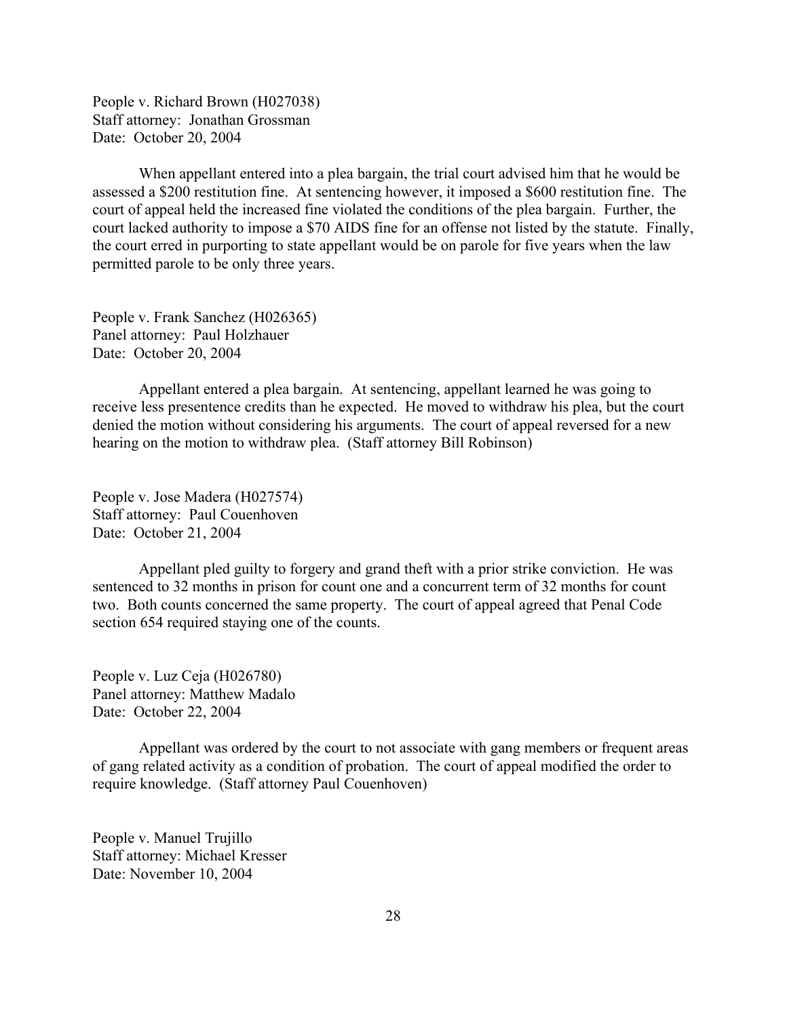People v. Richard Brown (H027038) Staff attorney: Jonathan Grossman Date: October 20, 2004

When appellant entered into a plea bargain, the trial court advised him that he would be assessed a \$200 restitution fine. At sentencing however, it imposed a \$600 restitution fine. The court of appeal held the increased fine violated the conditions of the plea bargain. Further, the court lacked authority to impose a \$70 AIDS fine for an offense not listed by the statute. Finally, the court erred in purporting to state appellant would be on parole for five years when the law permitted parole to be only three years.

People v. Frank Sanchez (H026365) Panel attorney: Paul Holzhauer Date: October 20, 2004

Appellant entered a plea bargain. At sentencing, appellant learned he was going to receive less presentence credits than he expected. He moved to withdraw his plea, but the court denied the motion without considering his arguments. The court of appeal reversed for a new hearing on the motion to withdraw plea. (Staff attorney Bill Robinson)

People v. Jose Madera (H027574) Staff attorney: Paul Couenhoven Date: October 21, 2004

Appellant pled guilty to forgery and grand theft with a prior strike conviction. He was sentenced to 32 months in prison for count one and a concurrent term of 32 months for count two. Both counts concerned the same property. The court of appeal agreed that Penal Code section 654 required staying one of the counts.

People v. Luz Ceja (H026780) Panel attorney: Matthew Madalo Date: October 22, 2004

Appellant was ordered by the court to not associate with gang members or frequent areas of gang related activity as a condition of probation. The court of appeal modified the order to require knowledge. (Staff attorney Paul Couenhoven)

People v. Manuel Trujillo Staff attorney: Michael Kresser Date: November 10, 2004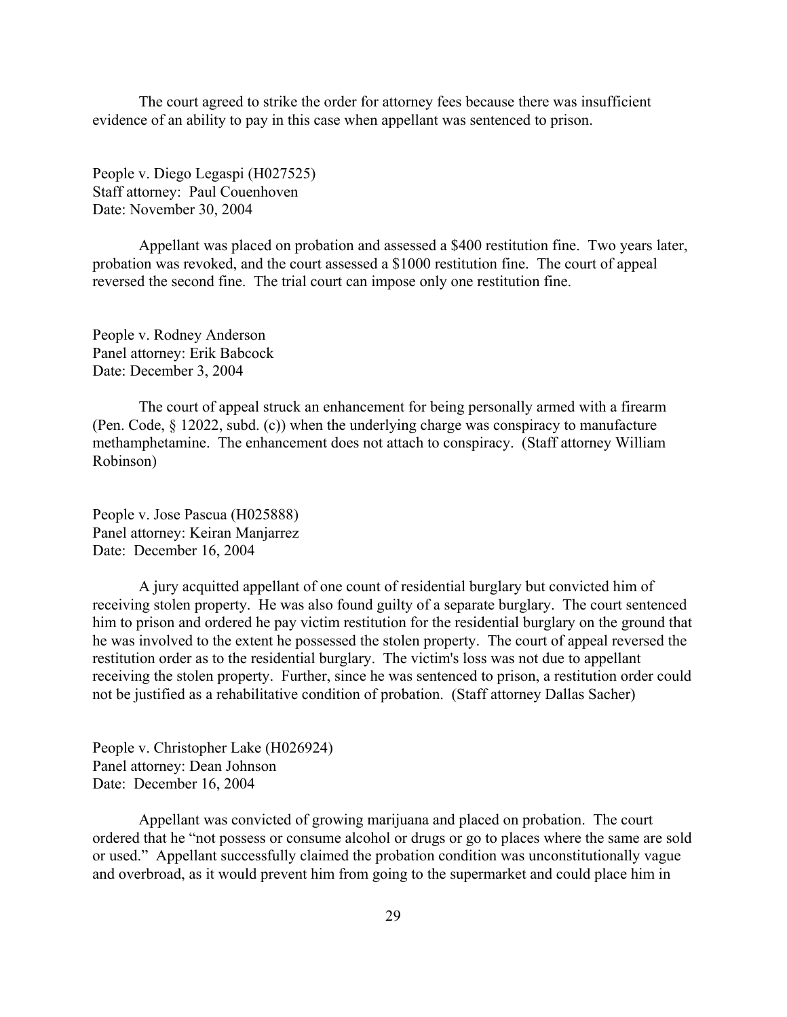The court agreed to strike the order for attorney fees because there was insufficient evidence of an ability to pay in this case when appellant was sentenced to prison.

People v. Diego Legaspi (H027525) Staff attorney: Paul Couenhoven Date: November 30, 2004

Appellant was placed on probation and assessed a \$400 restitution fine. Two years later, probation was revoked, and the court assessed a \$1000 restitution fine. The court of appeal reversed the second fine. The trial court can impose only one restitution fine.

People v. Rodney Anderson Panel attorney: Erik Babcock Date: December 3, 2004

The court of appeal struck an enhancement for being personally armed with a firearm (Pen. Code, § 12022, subd. (c)) when the underlying charge was conspiracy to manufacture methamphetamine. The enhancement does not attach to conspiracy. (Staff attorney William Robinson)

People v. Jose Pascua (H025888) Panel attorney: Keiran Manjarrez Date: December 16, 2004

A jury acquitted appellant of one count of residential burglary but convicted him of receiving stolen property. He was also found guilty of a separate burglary. The court sentenced him to prison and ordered he pay victim restitution for the residential burglary on the ground that he was involved to the extent he possessed the stolen property. The court of appeal reversed the restitution order as to the residential burglary. The victim's loss was not due to appellant receiving the stolen property. Further, since he was sentenced to prison, a restitution order could not be justified as a rehabilitative condition of probation. (Staff attorney Dallas Sacher)

People v. Christopher Lake (H026924) Panel attorney: Dean Johnson Date: December 16, 2004

Appellant was convicted of growing marijuana and placed on probation. The court ordered that he "not possess or consume alcohol or drugs or go to places where the same are sold or used." Appellant successfully claimed the probation condition was unconstitutionally vague and overbroad, as it would prevent him from going to the supermarket and could place him in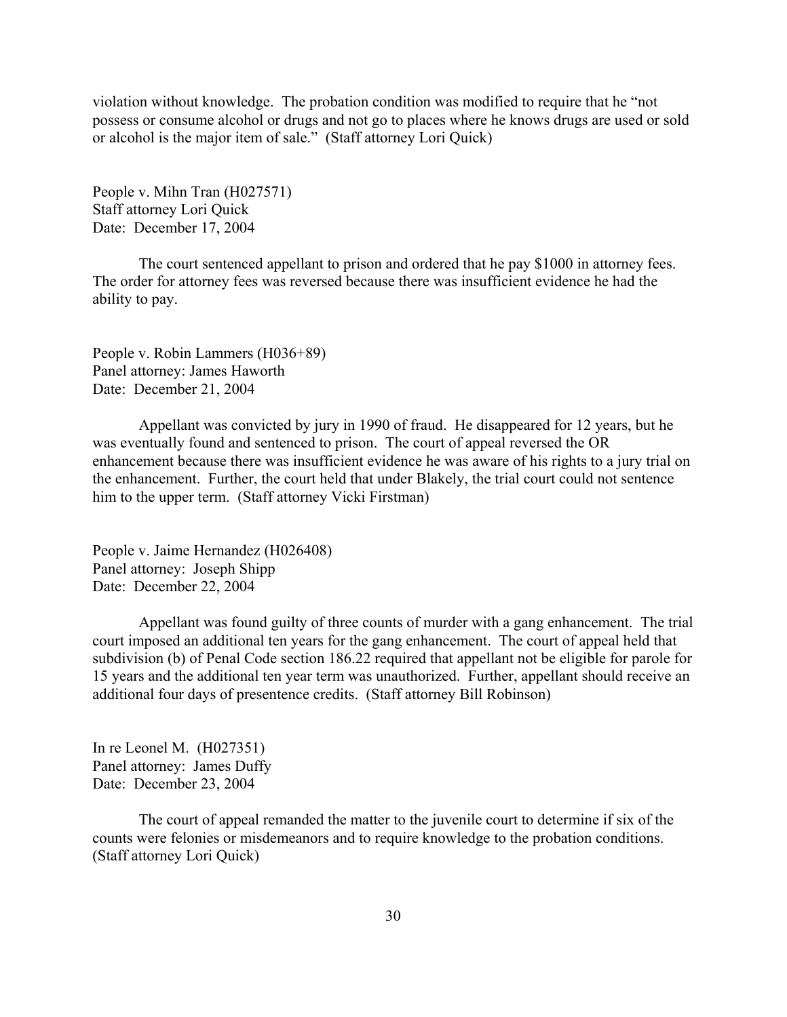violation without knowledge. The probation condition was modified to require that he "not possess or consume alcohol or drugs and not go to places where he knows drugs are used or sold or alcohol is the major item of sale." (Staff attorney Lori Quick)

People v. Mihn Tran (H027571) Staff attorney Lori Quick Date: December 17, 2004

The court sentenced appellant to prison and ordered that he pay \$1000 in attorney fees. The order for attorney fees was reversed because there was insufficient evidence he had the ability to pay.

People v. Robin Lammers (H036+89) Panel attorney: James Haworth Date: December 21, 2004

Appellant was convicted by jury in 1990 of fraud. He disappeared for 12 years, but he was eventually found and sentenced to prison. The court of appeal reversed the OR enhancement because there was insufficient evidence he was aware of his rights to a jury trial on the enhancement. Further, the court held that under Blakely, the trial court could not sentence him to the upper term. (Staff attorney Vicki Firstman)

People v. Jaime Hernandez (H026408) Panel attorney: Joseph Shipp Date: December 22, 2004

Appellant was found guilty of three counts of murder with a gang enhancement. The trial court imposed an additional ten years for the gang enhancement. The court of appeal held that subdivision (b) of Penal Code section 186.22 required that appellant not be eligible for parole for 15 years and the additional ten year term was unauthorized. Further, appellant should receive an additional four days of presentence credits. (Staff attorney Bill Robinson)

In re Leonel M. (H027351) Panel attorney: James Duffy Date: December 23, 2004

The court of appeal remanded the matter to the juvenile court to determine if six of the counts were felonies or misdemeanors and to require knowledge to the probation conditions. (Staff attorney Lori Quick)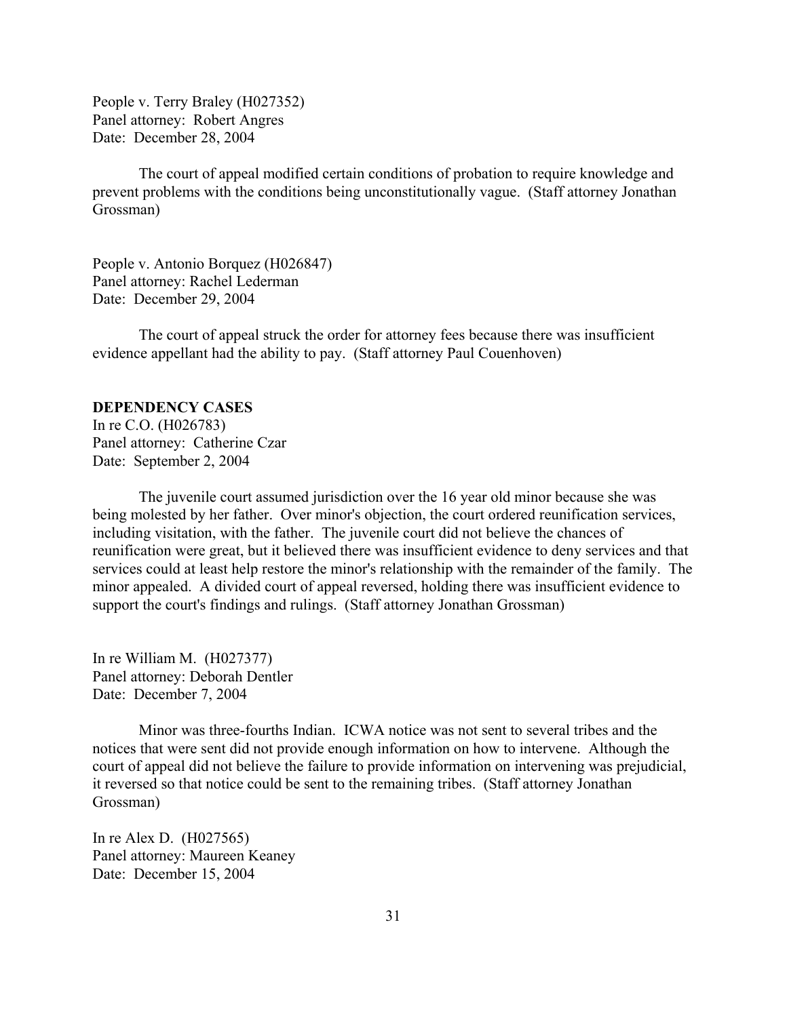<span id="page-30-0"></span>People v. Terry Braley (H027352) Panel attorney: Robert Angres Date: December 28, 2004

The court of appeal modified certain conditions of probation to require knowledge and prevent problems with the conditions being unconstitutionally vague. (Staff attorney Jonathan Grossman)

People v. Antonio Borquez (H026847) Panel attorney: Rachel Lederman Date: December 29, 2004

The court of appeal struck the order for attorney fees because there was insufficient evidence appellant had the ability to pay. (Staff attorney Paul Couenhoven)

### **DEPENDENCY CASES**

In re C.O. (H026783) Panel attorney: Catherine Czar Date: September 2, 2004

The juvenile court assumed jurisdiction over the 16 year old minor because she was being molested by her father. Over minor's objection, the court ordered reunification services, including visitation, with the father. The juvenile court did not believe the chances of reunification were great, but it believed there was insufficient evidence to deny services and that services could at least help restore the minor's relationship with the remainder of the family. The minor appealed. A divided court of appeal reversed, holding there was insufficient evidence to support the court's findings and rulings. (Staff attorney Jonathan Grossman)

In re William M. (H027377) Panel attorney: Deborah Dentler Date: December 7, 2004

Minor was three-fourths Indian. ICWA notice was not sent to several tribes and the notices that were sent did not provide enough information on how to intervene. Although the court of appeal did not believe the failure to provide information on intervening was prejudicial, it reversed so that notice could be sent to the remaining tribes. (Staff attorney Jonathan Grossman)

In re Alex D. (H027565) Panel attorney: Maureen Keaney Date: December 15, 2004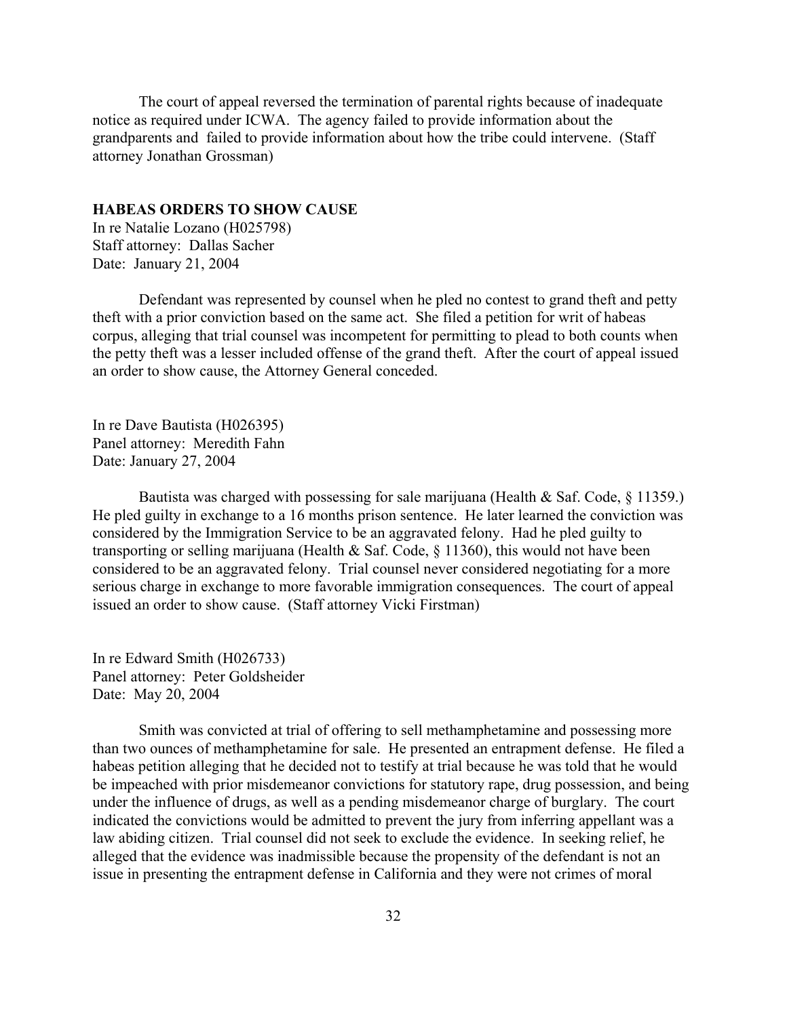<span id="page-31-0"></span>The court of appeal reversed the termination of parental rights because of inadequate notice as required under ICWA. The agency failed to provide information about the grandparents and failed to provide information about how the tribe could intervene. (Staff attorney Jonathan Grossman)

#### **HABEAS ORDERS TO SHOW CAUSE**

In re Natalie Lozano (H025798) Staff attorney: Dallas Sacher Date: January 21, 2004

Defendant was represented by counsel when he pled no contest to grand theft and petty theft with a prior conviction based on the same act. She filed a petition for writ of habeas corpus, alleging that trial counsel was incompetent for permitting to plead to both counts when the petty theft was a lesser included offense of the grand theft. After the court of appeal issued an order to show cause, the Attorney General conceded.

In re Dave Bautista (H026395) Panel attorney: Meredith Fahn Date: January 27, 2004

Bautista was charged with possessing for sale marijuana (Health & Saf. Code,  $\S$  11359.) He pled guilty in exchange to a 16 months prison sentence. He later learned the conviction was considered by the Immigration Service to be an aggravated felony. Had he pled guilty to transporting or selling marijuana (Health & Saf. Code, § 11360), this would not have been considered to be an aggravated felony. Trial counsel never considered negotiating for a more serious charge in exchange to more favorable immigration consequences. The court of appeal issued an order to show cause. (Staff attorney Vicki Firstman)

In re Edward Smith (H026733) Panel attorney: Peter Goldsheider Date: May 20, 2004

Smith was convicted at trial of offering to sell methamphetamine and possessing more than two ounces of methamphetamine for sale. He presented an entrapment defense. He filed a habeas petition alleging that he decided not to testify at trial because he was told that he would be impeached with prior misdemeanor convictions for statutory rape, drug possession, and being under the influence of drugs, as well as a pending misdemeanor charge of burglary. The court indicated the convictions would be admitted to prevent the jury from inferring appellant was a law abiding citizen. Trial counsel did not seek to exclude the evidence. In seeking relief, he alleged that the evidence was inadmissible because the propensity of the defendant is not an issue in presenting the entrapment defense in California and they were not crimes of moral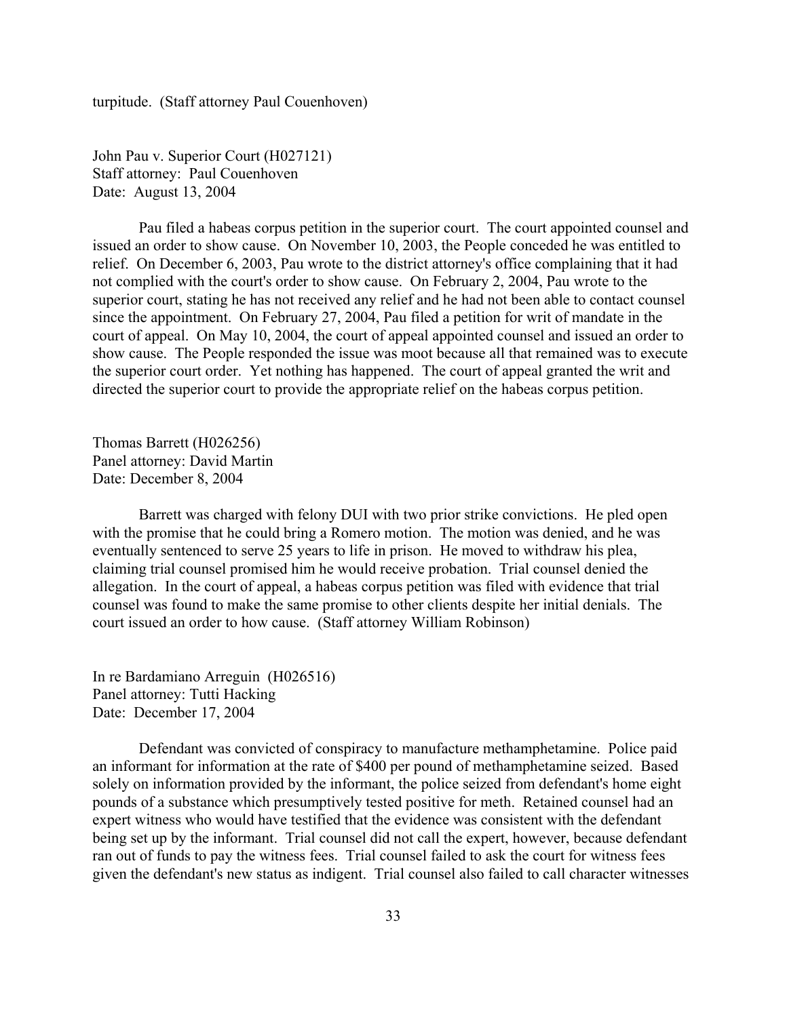turpitude. (Staff attorney Paul Couenhoven)

John Pau v. Superior Court (H027121) Staff attorney: Paul Couenhoven Date: August 13, 2004

Pau filed a habeas corpus petition in the superior court. The court appointed counsel and issued an order to show cause. On November 10, 2003, the People conceded he was entitled to relief. On December 6, 2003, Pau wrote to the district attorney's office complaining that it had not complied with the court's order to show cause. On February 2, 2004, Pau wrote to the superior court, stating he has not received any relief and he had not been able to contact counsel since the appointment. On February 27, 2004, Pau filed a petition for writ of mandate in the court of appeal. On May 10, 2004, the court of appeal appointed counsel and issued an order to show cause. The People responded the issue was moot because all that remained was to execute the superior court order. Yet nothing has happened. The court of appeal granted the writ and directed the superior court to provide the appropriate relief on the habeas corpus petition.

Thomas Barrett (H026256) Panel attorney: David Martin Date: December 8, 2004

Barrett was charged with felony DUI with two prior strike convictions. He pled open with the promise that he could bring a Romero motion. The motion was denied, and he was eventually sentenced to serve 25 years to life in prison. He moved to withdraw his plea, claiming trial counsel promised him he would receive probation. Trial counsel denied the allegation. In the court of appeal, a habeas corpus petition was filed with evidence that trial counsel was found to make the same promise to other clients despite her initial denials. The court issued an order to how cause. (Staff attorney William Robinson)

In re Bardamiano Arreguin (H026516) Panel attorney: Tutti Hacking Date: December 17, 2004

Defendant was convicted of conspiracy to manufacture methamphetamine. Police paid an informant for information at the rate of \$400 per pound of methamphetamine seized. Based solely on information provided by the informant, the police seized from defendant's home eight pounds of a substance which presumptively tested positive for meth. Retained counsel had an expert witness who would have testified that the evidence was consistent with the defendant being set up by the informant. Trial counsel did not call the expert, however, because defendant ran out of funds to pay the witness fees. Trial counsel failed to ask the court for witness fees given the defendant's new status as indigent. Trial counsel also failed to call character witnesses